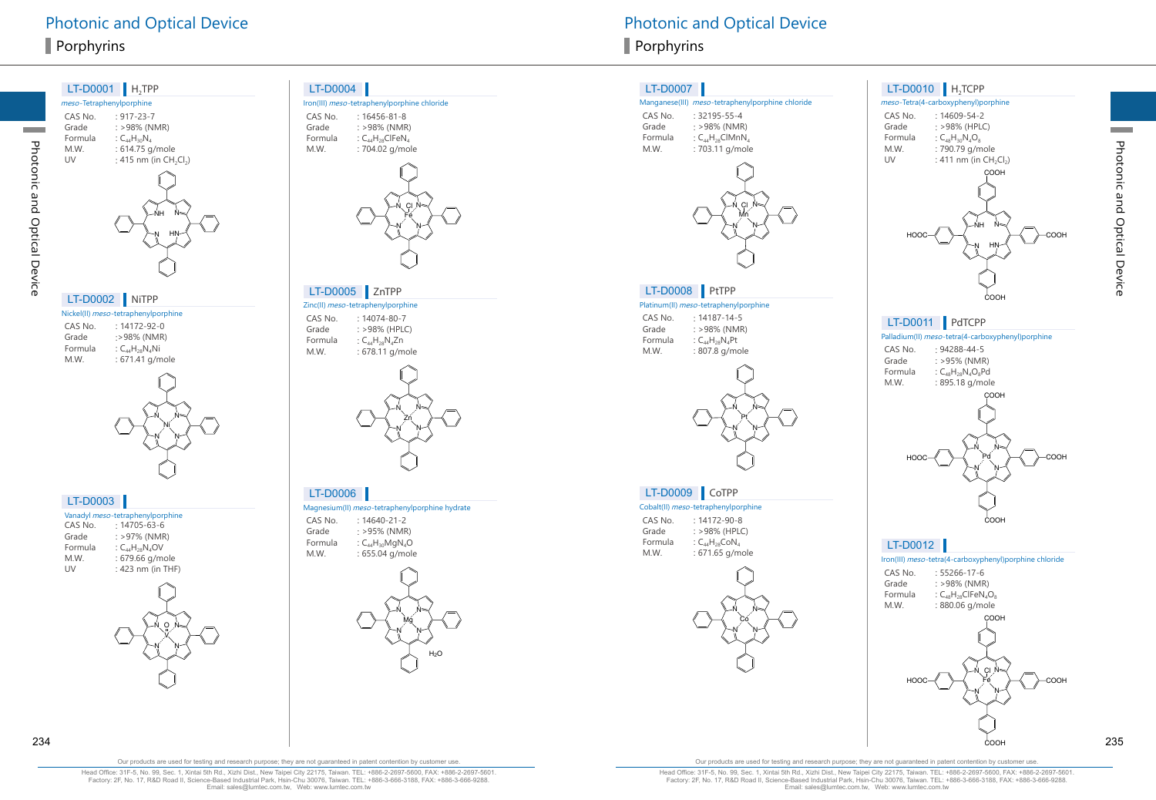

Iron(III) meso-tetraphenylporphine chloride



 $:$  >98% (HPLC)  $: 678.11$  g/mole



Magnesium(II) meso-tetraphenylporphine hydrate

 $: >95\%$  (NMR)  $: 655.04$  g/mole



#### LT-D0007

#### Manganese(III) meso-tetraphenylporphine chloride

CAS No. : 32195-55-4<br>Grade : >98% (NMR Grade  $: >98\%$  (NMR)<br>Formula  $: C_{AA}H_{28}ClMnN$ Formula  $C_{44}H_{28}CIMnN<sub>4</sub>$ <br>M.W.  $2703.11$  g/mol : 703.11 g/mole



#### Platinum(II) meso-tetraphenylporphine LT-D0008 PtTPP

CAS No. : 14187-14-5<br>Grade : >98% (NMR  $: >98\%$  (NMR) Formula  $C_{44}H_{28}N_4Pt$ <br>M.W.  $: 807.8 \text{ g/m}$ : 807.8 g/mole



#### LT-D0009 CoTPP

Cobalt(II) meso-tetraphenylporphine

CAS No. : 14172-90-8<br>Grade : >98% (HPLC Grade  $: >98\%$  (HPLC)<br>Formula  $: C_{44}H_{29}CoM_{4}$ Formula  $C_{44}H_{28}CoN_4$ <br>M.W.  $: 671.65$  g/m : 671.65 g/mole







## LT-D0011 PdTCPP

Palladium(II) meso-tetra(4-carboxyphenyl)porphine





COOH

Iron(III) meso-tetra(4-carboxyphenyl)porphine chloride LT-D0012





COOH

Photonic and Optical Device

Photonic and Optical Device

Head Office: 31F-5, No. 99, Sec. 1, Xintai 5th Rd., Xizhi Dist., New Taipei City 22175, Taiwan. TEL: +886-2-2697-5600, FAX: +886-2-2697-5601. Factory: 2F, No. 17, R&D Road II, Science-Based Industrial Park, Hsin-Chu 30076, Taiwan. TEL: +886-3-666-3188, FAX: +886-3-666-9288. Email: sales@lumtec.com.tw, Web: www.lumtec.com.tw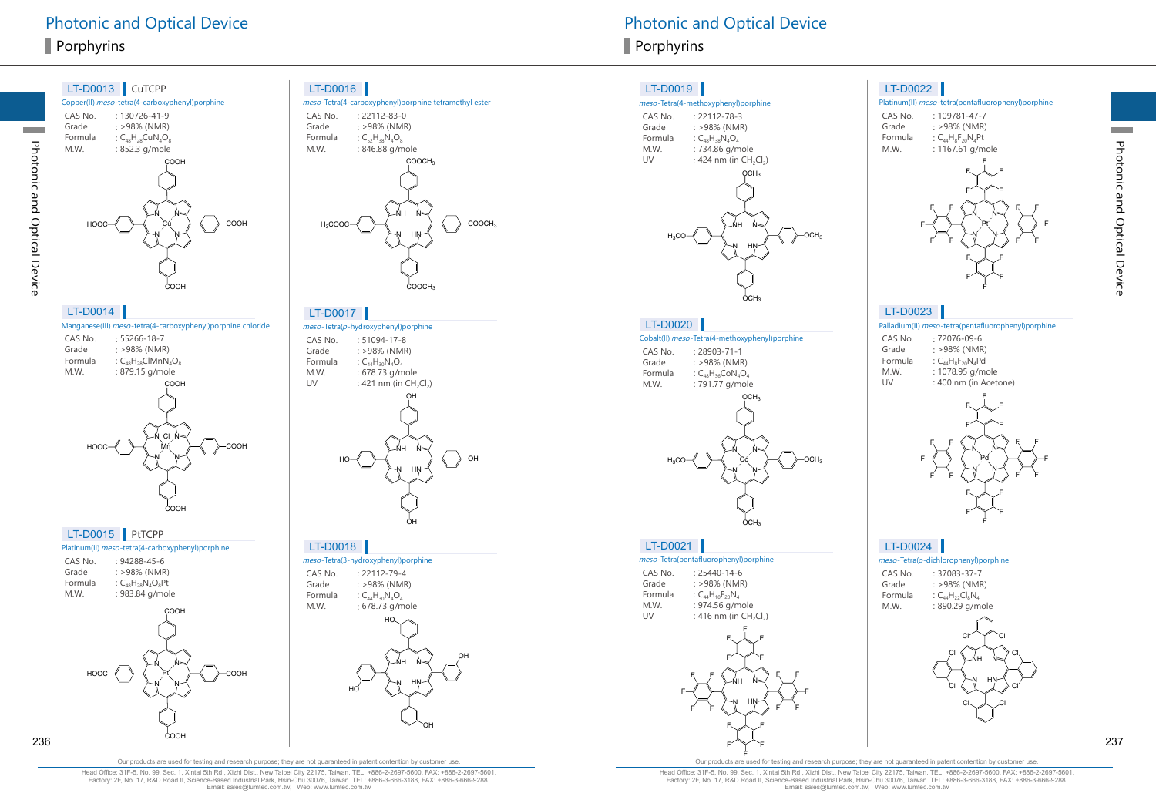

Photonic and Optical Device

Photonic and Optical Device

|             | Manganese(III) meso-tetra(4-carboxyphenyl)porphine chloride |
|-------------|-------------------------------------------------------------|
| $C_A C_{A}$ | FFACAA07                                                    |

| CAS NO. | : 55400-10-7               |
|---------|----------------------------|
| Grade   | : >98% (NMR)               |
| Formula | : $C_{48}H_{28}CHMnN_4O_8$ |
| M.W.    | : 879.15 g/mole            |
|         |                            |



COOH

#### LT-D0015 PtTCPP

| Platinum(II) meso-tetra(4-carboxyphenyl)porphine |                          |  |  |
|--------------------------------------------------|--------------------------|--|--|
| CAS No.                                          | $: 94288 - 45 - 6$       |  |  |
| Grade                                            | $: >98\%$ (NMR)          |  |  |
| Formula                                          | : $C_{48}H_{28}N_AO_8Pt$ |  |  |
| M.W.                                             | : 983.84 g/mole          |  |  |



#### LT-D0016





#### LT-D0017

meso-Tetra(p-hydroxyphenyl)porphine

CAS No. : 51094-17-8 Grade : >98% (NMR)<br>Formula :  $C_{44}H_{30}N_{4}O_{4}$ Formula :  $C_{44}H_{30}N_{4}O_{4}$ <br>M.W. : 678.73 g/m M.W. : 678.73 g/mole<br>UV : 421 nm (in CH : 421 nm (in  $CH_2Cl_2$ )



#### LT-D0018

meso-Tetra(3-hydroxyphenyl)porphine CAS No. : 22112-79-4<br>Grade : >98% (NMR  $: >98\%$  (NMR) Formula :  $C_{44}H_{30}N_4O_4$ <br>M.W. : 678.73 g/m : 678.73 g/mole



#### LT-D0019

#### meso-Tetra(4-methoxyphenyl)porphine

| $: 22112 - 78 - 3$         |
|----------------------------|
| : >98% (NMR)               |
| : $C_{48}H_{38}N_{4}O_{4}$ |
| : 734.86 g/mole            |
| : 424 nm (in $CH_2Cl_2$ )  |
|                            |



#### LT-D0020

#### Cobalt(II) meso-Tetra(4-methoxyphenyl)porphine

CAS No. : 28903-71-1<br>Grade : >98% (NMR Grade  $: >98\%$  (NMR)<br>Formula  $: C_{.0}H_{.2}CON_{.}O$ Formula  $C_{48}H_{36}CoN_4O_4$ <br>M.W.  $1791.77 \text{ g/mol}$ : 791.77 g/mole



#### LT-D0021

meso-Tetra(pentafluorophenyl)porphine CAS No. : 25440-14-6<br>Grade : >98% (NMR Grade  $: >98\%$  (NMR)<br>Formula  $: C_{44}H_{10}F_{20}N_4$ Formula :  $C_{44}H_{10}F_{20}N_4$ <br>M.W. : 974.56 g/m M.W. : 974.56 g/mole<br>UV : 416 nm (in CH : 416 nm (in  $CH<sub>2</sub>Cl<sub>2</sub>$ )



#### LT-D0022

#### Platinum(II) meso-tetra(pentafluorophenyl)porphine

CAS No. : 109781-47-7<br>Grade : >98% (NMR) Grade : >98% (NMR)<br>Formula :  $C_{AA}H_BF_{20}N_APt$ Formula :  $C_{44}H_8F_{20}N_4Pt$ <br>M.W. : 1167.61 g/m  $: 1167.61$  g/mole F F F



# LT-D0023

Palladium(II) meso-tetra(pentafluorophenyl)porphine

| CAS No. | $:72076-09-6$            |
|---------|--------------------------|
| Grade   | $: >98\%$ (NMR)          |
| Formula | : $C_{44}H_8F_{20}N_4Pd$ |
| M.W.    | : 1078.95 g/mole         |
| UV      | : 400 nm (in Acetone)    |
|         |                          |



## LT-D0024

meso-Tetra(o-dichlorophenyl)porphine CAS No. : 37083-37-7<br>Grade : >98% (NMR  $: >98\%$  (NMR) Formula :  $C_{44}H_{22}Cl_8N_4$ <br>M.W. : 890.29 g/m



F Our products are used for testing and research purpose; they are not guaranteed in patent contention by customer use

Head Office: 31F-5, No. 99, Sec. 1, Xintai 5th Rd., Xizhi Dist., New Taipei City 22175, Taiwan. TEL: +886-2-2697-5600, FAX: +886-2-2697-5601. Factory: 2F, No. 17, R&D Road II, Science-Based Industrial Park, Hsin-Chu 30076, Taiwan. TEL: +886-3-666-3188, FAX: +886-3-666-9288. Email: sales@lumtec.com.tw, Web: www.lumtec.com.tw



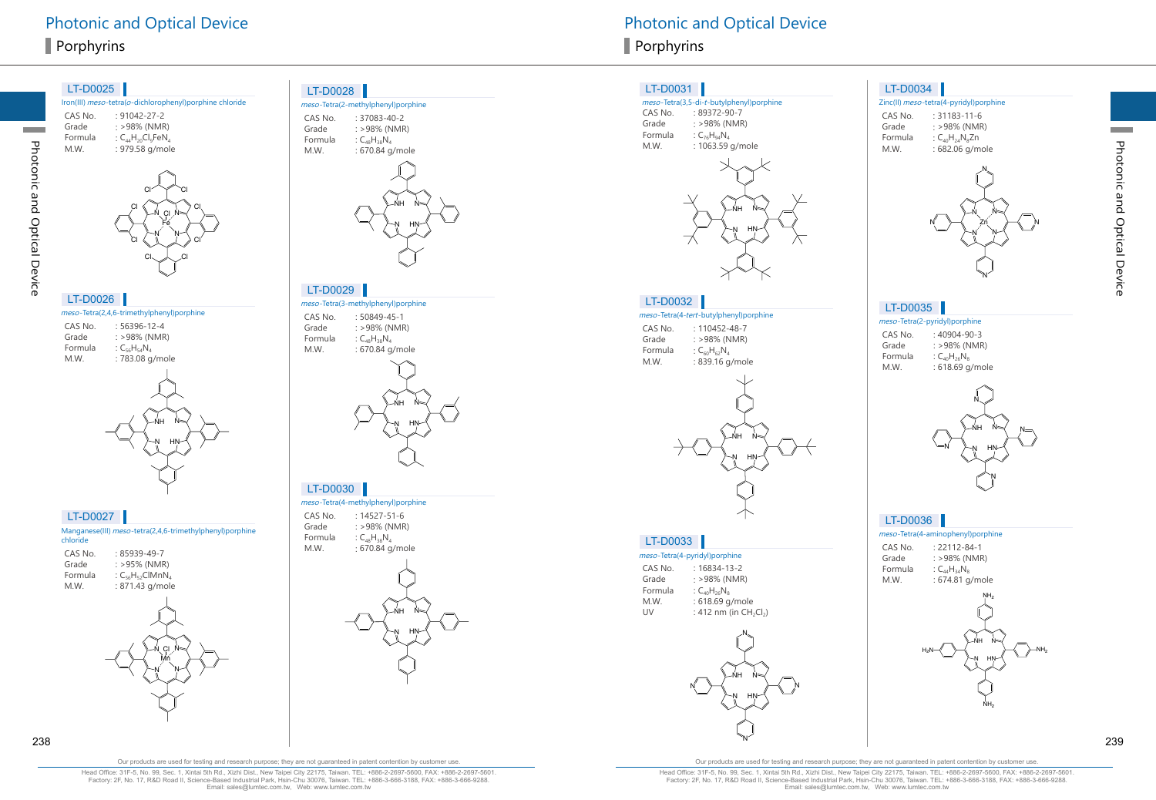#### Iron(III) meso-tetra(o-dichlorophenyl)porphine chloride CAS No. : 91042-27-2 Grade : >98% (NMR) Formula  $\colon \mathsf{C}_{\mathsf{44}}\mathsf{H}_{\mathsf{20}}\mathsf{Cl}_{\mathsf{9}}\mathsf{FeN}_\mathsf{4}$ M.W. : 979.58 g/mole LT-D0025 meso-Tetra(2,4,6-trimethylphenyl)porphine CAS No. : 56396-12-4 Grade : >98% (NMR) Formula :  $C_{56}H_{54}N_4$ M.W. : 783.08 g/mole LT-D0026 N N N N Fe Cl cr Y ci Cl Cl Cl $\diagdown$ Cl Cl Cl



#### LT-D0027

| chloride | Manganese(III) meso-tetra(2,4,6-trimethylphenyl)porphine |
|----------|----------------------------------------------------------|
| CAS No.  | $:85939-49-7$                                            |
| Grade    | $: >95\%$ (NMR)                                          |
| Formula  | : $C_{56}H_{52}CIMnN_A$                                  |
| M.W.     | : 871.43 g/mole                                          |



Photonic and Optical Device

Photonic and Optical Device



meso-Tetra(2-methylphenyl)porphine

: 37083-40-2

: >98% (NMR)

CAS No.

LT-D0028

Grade

#### LT-D0029

meso-Tetra(3-methylphenyl)porphine CAS No. : 50849-45-1 Grade : >98% (NMR) Formula :  $C_{48}H_{38}N_4$ 



#### LT-D0030

meso-Tetra(4-methylphenyl)porphine CAS No. : 14527-51-6 Grade : >98% (NMR) Formula :  $C_{48}H_{38}N_4$ M.W.



# Photonic and Optical Device **Photonic and Optical Device** Photonic and Optical Device

#### LT-D0031

#### meso-Tetra(3,5-di-t-butylphenyl)porphine CAS No. : 89372-90-7

Grade : >98% (NMR) Formula :  $C_{76}H_{94}N_4$ M.W. : 1063.59 g/mole



#### LT-D0032

#### meso-Tetra(4-tert-butylphenyl)porphine

CAS No. : 110452-48-7 Grade : >98% (NMR) Formula :  $C_{60}H_{62}N_4$ M.W. : 839.16 g/mole



#### LT-D0033

meso-Tetra(4-pyridyl)porphine CAS No. : 16834-13-2 Grade : >98% (NMR) Formula :  $C_{40}H_{26}N_8$ M.W. : 618.69 g/mole UV : 412 nm (in  $CH_2Cl_2$ )



#### LT-D0034

Zinc(II) meso-tetra(4-pyridyl)porphine CAS No. : 31183-11-6 Grade : >98% (NMR) Formula :  $C_{40}H_{24}N_8Zn$ M.W. : 682.06 g/mole



#### LT-D0035

meso-Tetra(2-pyridyl)porphine CAS No. : 40904-90-3

Grade : >98% (NMR) Formula :  $C_{40}H_{26}N_8$ M.W. : 618.69 g/mole



#### LT-D0036

#### meso-Tetra(4-aminophenyl)porphine

CAS No. : 22112-84-1 Grade : >98% (NMR) Formula :  $C_{44}H_{34}N_8$ M.W. : 674.81 g/mole



Photonic and Optical Device

Photonic and Optical Device

Head Office: 31F-5, No. 99, Sec. 1, Xintai 5th Rd., Xizhi Dist., New Taipei City 22175, Taiwan. TEL: +886-2-2697-5600, FAX: +886-2-2697-5601. Factory: 2F, No. 17, R&D Road II, Science-Based Industrial Park, Hsin-Chu 30076, Taiwan. TEL: +886-3-666-3188, FAX: +886-3-666-9288. Email: sales@lumtec.com.tw, Web: www.lumtec.com.tw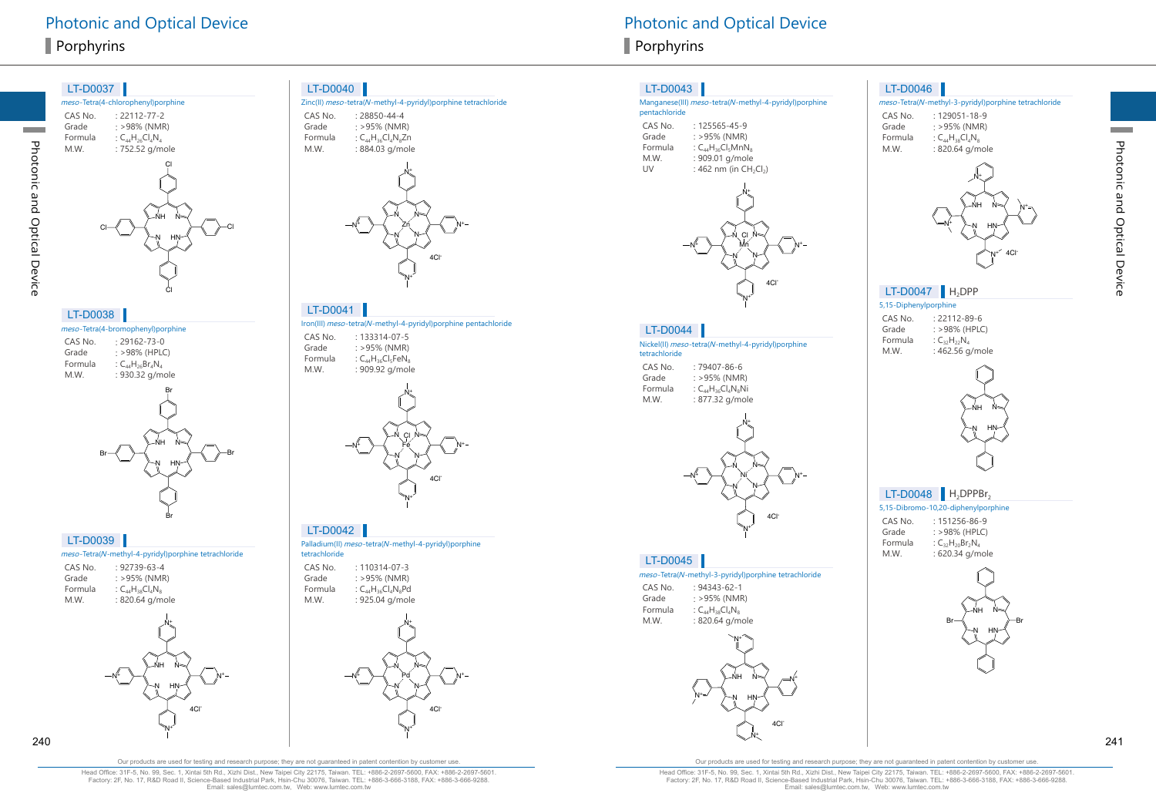Photonic and Optical Device

Photonic and Optical Device

| meso-Tetra(4-bromophenyl) porphine |                         |  |  |
|------------------------------------|-------------------------|--|--|
| CAS No.                            | $: 29162 - 73 - 0$      |  |  |
| Grade                              | : >98% (HPLC)           |  |  |
| Formula                            | : $C_{44}H_{26}Br_4N_4$ |  |  |
| M.W.                               | : 930.32 g/mole         |  |  |
|                                    |                         |  |  |



Br

Cl

Cl

#### LT-D0039

meso-Tetra( <sup>N</sup>-methyl-4-pyridyl)porphine tetrachloride

| CAS No. | $.92739 - 63 - 4$       |
|---------|-------------------------|
| Grade   | $: >95\%$ (NMR)         |
| Formula | : $C_{44}H_{38}Cl_4N_8$ |
| M.W.    | : 820.64 g/mole         |



#### LT-D0040

| Zinc(II) meso-tetra(N-methyl-4-pyridyl)porphine tetrachloride |                                       |  |  |
|---------------------------------------------------------------|---------------------------------------|--|--|
| CAS No.<br>Grade                                              | $: 28850 - 44 - 4$<br>$: >95\%$ (NMR) |  |  |
|                                                               |                                       |  |  |

Formula :  $C_{44}H_{36}Cl_4N_8Zn$ M.W. : 884.03 g/mole



lron(III) *meso-*tetra(N-methyl-4-pyridyl)porphine pentachloride LT-D0041

CAS No. : 133314-07-5 Grade : >95% (NMR) Formula :  $\mathsf{C}_{44}\mathsf{H}_{36}\mathsf{Cl}_{5}\mathsf{FeN}_{8}$ M.W. : 909.92 g/mole



LT-D0042

Palladium(II) *meso*-tetra(N-methyl-4-pyridyl)porphine tetrachloride

CAS No. : 110314-07-3 Grade  $: >95\%$  (NMR) Formula :  $C_{44}H_{36}Cl_4N_8Pd$ M.W. : 925.04 g/mole



#### LT-D0043

#### Manganese(III) meso-tetra( N-methyl-4-pyridyl)porphine pentachloride CAS No. : 125565-45-9

| Grade   | $: >95\%$ (NMR)           |
|---------|---------------------------|
| Formula | : $C_{44}H_{36}Cl_5MnN_8$ |
| M.W.    | : 909.01 g/mole           |
| UV      | : 462 nm (in CH           |
|         |                           |



#### LT-D0044

Nickel(II) *meso-*tetra(N-methyl-4-pyridyl)porphine tetrachloride CAS No. : 79407-86-6 Grade : >95% (NMR) Formula :  $C_{44}H_{36}Cl_4N_8Ni$ M.W. : 877.32 g/mole



#### LT-D0045

meso-Tetra( <sup>N</sup>-methyl-3-pyridyl)porphine tetrachloride

CAS No. : 94343-62-1 Grade : >95% (NMR) Formula :  $C_{44}H_{38}Cl_{4}N_{8}$ M.W. : 820.64 g/mole



#### LT-D0046

| meso-Tetra(N-methyl-3-pyridyl)porphine tetrachloride |                     |  |  |
|------------------------------------------------------|---------------------|--|--|
| CAS No.                                              | $: 129051 - 18 - 9$ |  |  |
| Grade                                                | : >95% (NMR)        |  |  |
|                                                      |                     |  |  |





# $LT-D0047$   $H_2DPP$

5,15-Diphenylporphine CAS No. : 22112-89-6 Grade : >98% (HPLC) Formula :  $C_{32}H_{22}N_4$ M.W. : 462.56 g/mole



## $LT$ -D0048  $H_2$ DPPBr<sub>2</sub>

|         | 5,15-Dibromo-10,20-diphenylporphine |
|---------|-------------------------------------|
| CAS No. | $: 151256 - 86 - 9$                 |
| Grade   | : >98% (HPLC)                       |
| Formula | : $C_{32}H_{20}Br_2N_4$             |
| M.W.    | : 620.34 g/mole                     |



Head Office: 31F-5, No. 99, Sec. 1, Xintai 5th Rd., Xizhi Dist., New Taipei City 22175, Taiwan. TEL: +886-2-2697-5600, FAX: +886-2-2697-5601. Factory: 2F, No. 17, R&D Road II, Science-Based Industrial Park, Hsin-Chu 30076, Taiwan. TEL: +886-3-666-3188, FAX: +886-3-666-9288. Email: sales@lumtec.com.tw, Web: www.lumtec.com.tw

Our products are used for testing and research purpose; they are not guaranteed in patent contention by customer use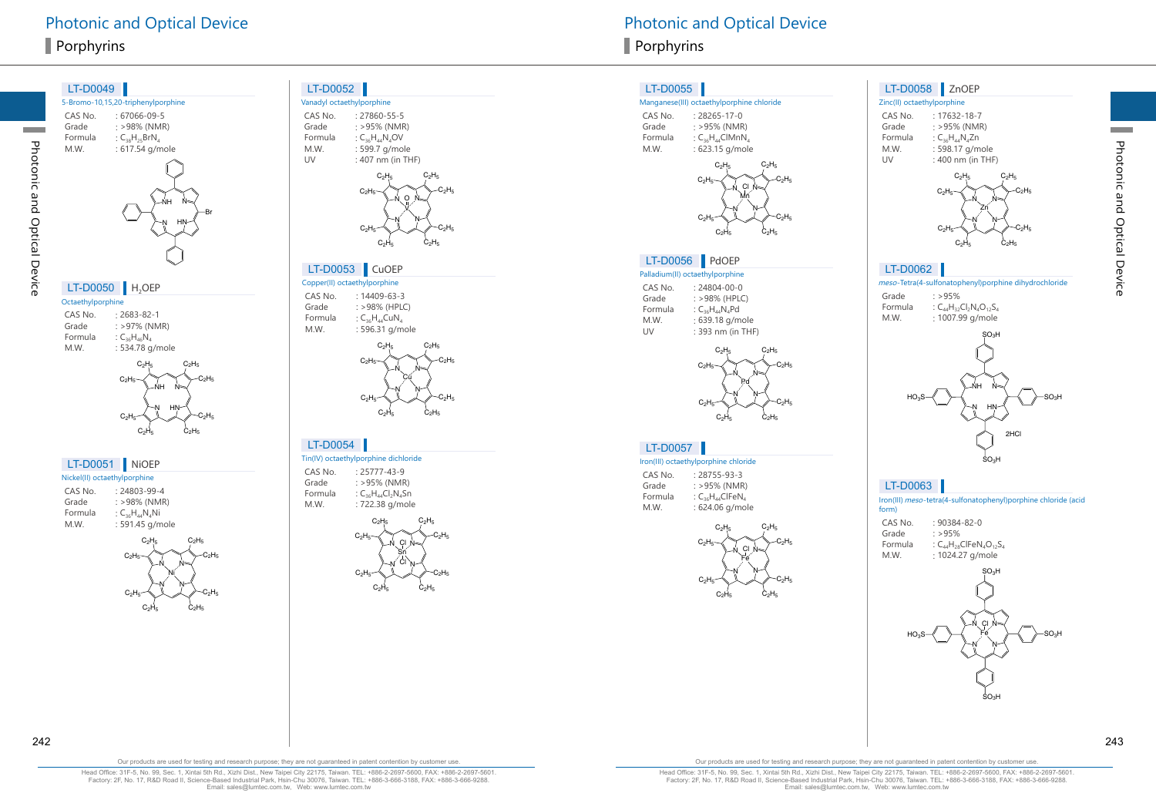

: 27860-55-5 : >95% (NMR) :  $C_{36}H_{44}N_{4}OV$ : 599.7 g/mole : 407 nm (in THF)



#### LT-D0053 CuOEP

Copper(II) octaethylporphine : 14409-63-3 : >98% (HPLC)  $\colon$  C<sub>36</sub>H<sub>44</sub>CuN<sub>4</sub> : 596.31 g/mole



: 25777-43-9 : >95% (NMR) :  $C_{36}H_{44}Cl_2N_4Sn$ : 722.38 g/mole



# Photonic and Optical Device **Photonic and Optical Device** Photonic and Optical Device

# LT-D0055

#### Manganese(III) octaethylporphine chloride

CAS No. : 28265-17-0 Grade : >95% (NMR) Formula :  $C_{36}H_{44}$ CIMnN 4 : 623.15 g/mole M.W.



## LT-D0056 PdOEP

Palladium(II) octaethylporphine CAS No. : 24804-00-0 Grade : >98% (HPLC) Formula :  $C_{36}H_{44}N_{4}Pd$ M.W. : 639.18 g/mole UV : 393 nm (in THF)



#### LT-D0057

Iron(III) octaethylporphine chloride

CAS No. : 28755-93-3 Grade : >95% (NMR) Formula  $:\mathsf{C}_{36}\mathsf{H}_{44}\mathsf{CIFeN}_4$ M.W. : 624.06 g/mole



#### Zinc(II) octaethylporphine CAS No. : 17632-18-7 Grade : >95% (NMR)

Formula :  $C_{36}H_{44}N_{4}Zn$ M.W. : 598.17 g/mole UV : 400 nm (in THF)

LT-D0058 ZnOEP



#### LT-D0062

meso-Tetra(4-sulfonatophenyl)porphine dihydrochloride Grade  $: >95\%$ 

Formula :  $C_{44}H_{32}Cl_2N_4O_{12}S_4$ M.W. : 1007.99 g/mole



#### LT-D0063

Iron(III) meso-tetra(4-sulfonatophenyl)porphine chloride (acid form)







Photonic and Optical Device

Photonic and Optical Device

Head Office: 31F-5, No. 99, Sec. 1, Xintai 5th Rd., Xizhi Dist., New Taipei City 22175, Taiwan. TEL: +886-2-2697-5600, FAX: +886-2-2697-5601. Factory: 2F, No. 17, R&D Road II, Science-Based Industrial Park, Hsin-Chu 30076, Taiwan. TEL: +886-3-666-3188, FAX: +886-3-666-9288. Email: sales@lumtec.com.tw, Web: www.lumtec.com.tw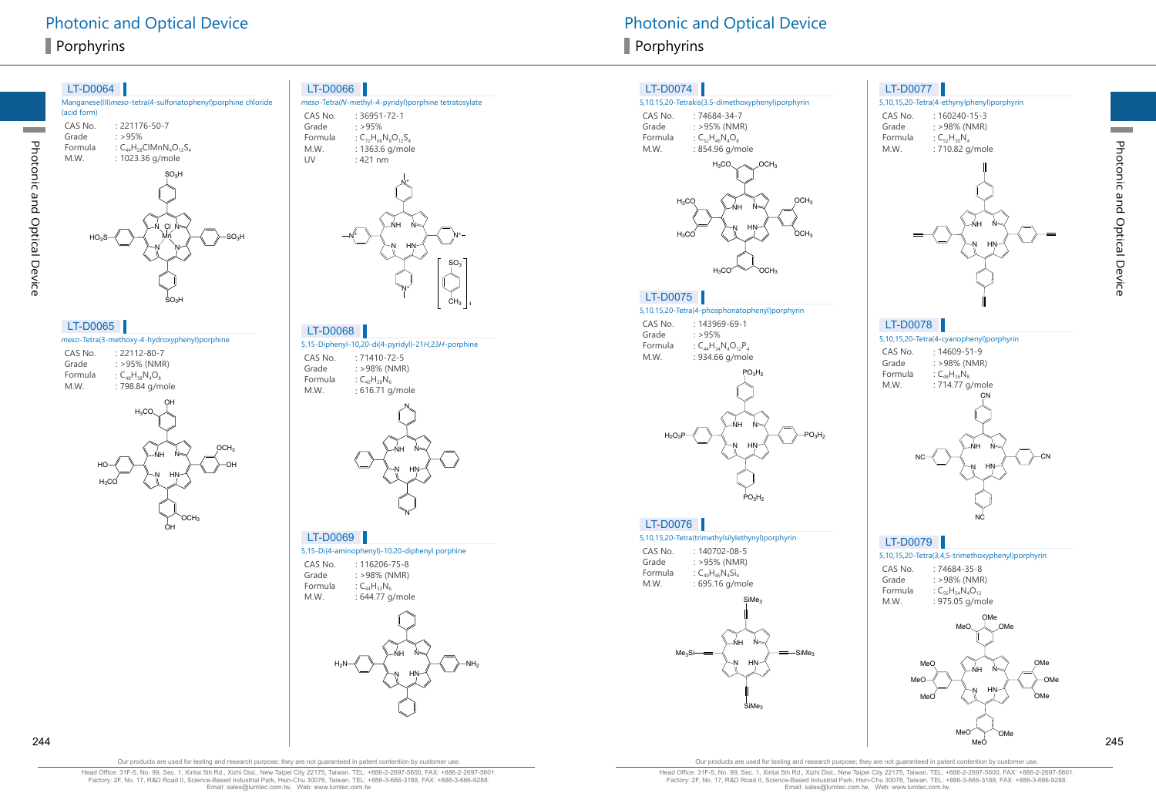Photonic and Optical Device

Photonic and Optical Device

| (acid form)                         | Manganese(III)meso-tetra(4-sulfonatophenyl)porphine chloride                          |
|-------------------------------------|---------------------------------------------------------------------------------------|
| CAS No.<br>Grade<br>Formula<br>M.W. | $: 221176 - 50 - 7$<br>: >95%<br>: $C_{44}H_{28}ClMnN_4O_{12}S_4$<br>: 1023.36 g/mole |
| HO <sub>3</sub> S                   | SO <sub>3</sub> H<br>$Cl$ $N$<br>SO <sub>3</sub> H<br>$SO_3H$                         |

| LT-D0065                                      |                        |  |  |
|-----------------------------------------------|------------------------|--|--|
| meso-Tetra(3-methoxy-4-hydroxyphenyl)porphine |                        |  |  |
| CAS No.                                       | $: 22112 - 80 - 7$     |  |  |
| Grade                                         | $: >95\%$ (NMR)        |  |  |
| Formula                                       | : $C_{AB}H_{3B}N_AO_B$ |  |  |
| M.W.                                          | : 798.84 g/mole        |  |  |
|                                               | OН                     |  |  |
|                                               |                        |  |  |



#### $LT\,D0066$

| LI-DUUUU                       |                                                                                                                              |
|--------------------------------|------------------------------------------------------------------------------------------------------------------------------|
|                                | meso-Tetra(N-methyl-4-pyridyl)porphine tetratosylate                                                                         |
| CAS No.<br>Grade<br>M.W.<br>UV | $: 36951 - 72 - 1$<br>:>95%<br>Formula : $C_{72}H_{66}N_8O_{12}S_4$<br>: 1363.6 g/mole<br>: 421 nm                           |
|                                | $\sqrt{1 + \frac{1}{2}}$<br><b>NH</b><br>$N =$<br>N+<br>N<br>HN<br>N<br>SO <sub>3</sub><br>CH <sub>3</sub><br>$\overline{4}$ |

5,15-Diphenyl-10,20-di(4-pyridyl)-21 <sup>H</sup>,23 <sup>H</sup>-porphine LT-D0068

CAS No. : 71410-72-5 Grade : >98% (NMR) Formula :  $C_{42}H_{28}N_6$ M.W. : 616.71 g/mole



LT-D0069

5,15-Di(4-aminophenyl)-10,20-diphenyl porphine

CAS No. : 116206-75-8 Grade : >98% (NMR) Formula :  $C_{44}H_{32}N_6$ M.W. : 644.77 g/mole



Photonic and Optical Device **Photonic and Optical Device** Photonic and Optical Device

#### LT-D0074

#### 5,10,15,20-Tetrakis(3,5-dimethoxyphenyl)porphyrin

CAS No. : 74684-34-7 Grade : >95% (NMR) Formula :  $C_{52}H_{46}N_{4}O_{8}$ M.W. : 854.96 g/mole



#### LT-D0075

5,10,15,20-Tetra(4-phosphonatophenyl)porphyrin

CAS No. : 143969-69-1 Grade : >95% Formula :  $C_{44}H_{34}N_{4}O_{12}P_{4}$ M.W. : 934.66 g/mole



PO 3 H 2

#### LT-D0076

5,10,15,20-Tetra(trimethylsilylethynyl)porphyrin

CAS No. : 140702-08-5 Grade : >95% (NMR) Formula :  $C_{40}H_{46}N_4Si_4$ M.W. : 695.16 g/mole



#### LT-D0077

5,10,15,20-Tetra(4-ethynylphenyl)porphyrin CAS No. : 160240-15-3 Grade : >98% (NMR) Formula :  $C_{52}H_{30}N_4$ M.W. : 710.82 g/mole



# LT-D0078

5,10,15,20-Tetra(4-cyanophenyl)porphyrin CAS No. : 14609-51-9 Grade : >98% (NMR) Formula :  $C_{48}H_{26}N_{8}$ M.W. : 714.77 g/mole HN NH N N CN NC

CN

Photonic and Optical Device

Photonic and Optical Device

# LT-D0079

5,10,15,20-Tetra(3,4,5-trimethoxyphenyl)porphyrin

NC

| CAS No. | $:74684 - 35 - 8$           |
|---------|-----------------------------|
| Grade   | $: >98\%$ (NMR)             |
| Formula | : $C_{56}H_{54}N_{4}O_{12}$ |
| M.W.    | : 975.05 g/mole             |



Our products are used for testing and research purpose; they are not guaranteed in patent contention by customer use.

Head Office: 31F-5, No. 99, Sec. 1, Xintai 5th Rd., Xizhi Dist., New Taipei City 22175, Taiwan. TEL: +886-2-2697-5600, FAX: +886-2-2697-5601. Factory: 2F, No. 17, R&D Road II, Science-Based Industrial Park, Hsin-Chu 30076, Taiwan. TEL: +886-3-666-3188, FAX: +886-3-666-9288. Email: sales@lumtec.com.tw, Web: www.lumtec.com.tw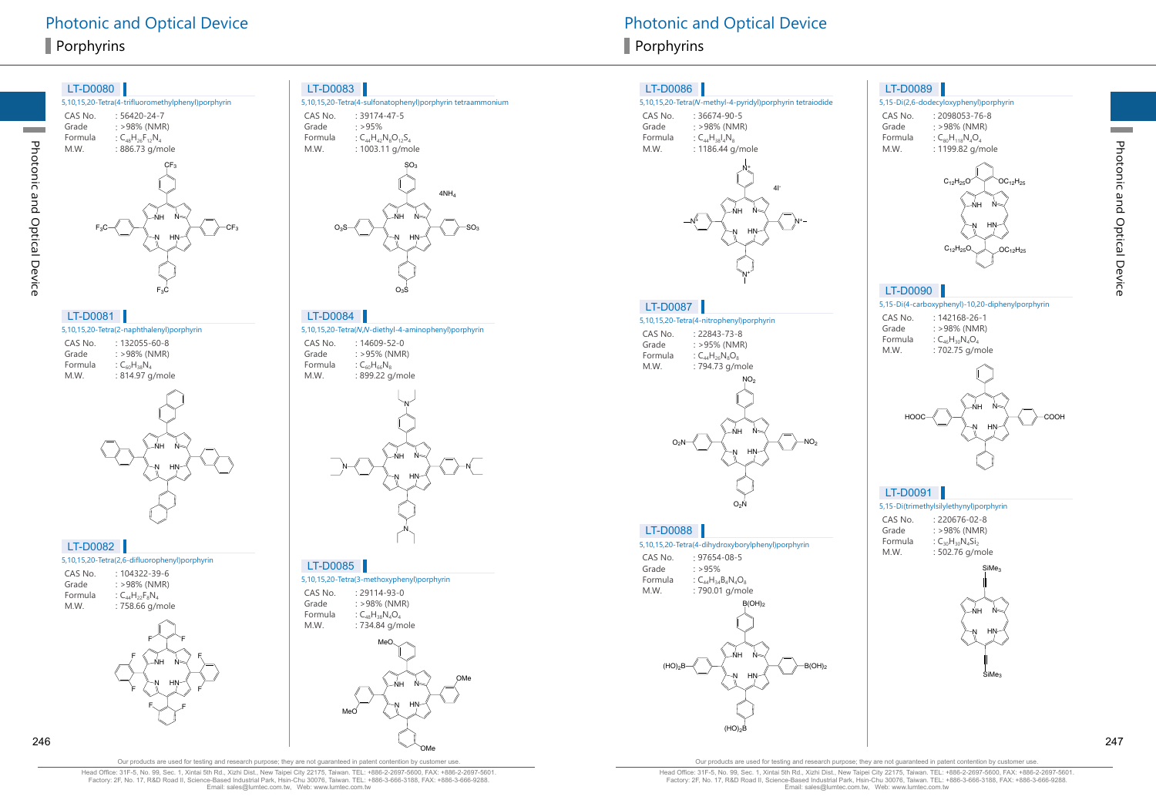#### 5,10,15,20-Tetra(4-trifluoromethylphenyl)porphyrin CAS No. : 56420-24-7<br>Grade : >98% (NMR Grade : >98% (NMR)<br>Formula :  $C_{AB}H_{26}F_{12}N_A$ Formula :  $C_{48}H_{26}F_{12}N_4$ <br>M.W. : 886.73 g/m : 886.73 g/mole LT-D0080 HN NH N N  $-CF<sub>3</sub>$  $\zeta$ F $_3$  $F_3C$  $_{\rm F_3C}$

#### LT-D0081

Photonic and Optical Device

Photonic and Optical Device

|         | 5,10,15,20-Tetra(2-naphthalenyl)porphyrin |
|---------|-------------------------------------------|
| CAS No. | $: 132055 - 60 - 8$                       |
| Grade   | $: >98\%$ (NMR)                           |
| Formula | : $C_{60}H_{38}N_A$                       |
| M.W.    | : 814.97 g/mole                           |
|         |                                           |



#### LT-D0082

|         | 5,10,15,20-Tetra(2,6-difluorophenyl)porphyrin |
|---------|-----------------------------------------------|
| CAS No. | $.104322 - 39 - 6$                            |
| Grade   | : >98% (NMR)                                  |
| Formula | : $C_{44}H_{22}F_{8}N_{4}$                    |
| M.W.    | : 758.66 g/mole                               |
|         |                                               |



#### LT-D0083



#### LT-D0084

5,10,15,20-Tetra(N,N-diethyl-4-aminophenyl)porphyrin CAS No. : 14609-52-0<br>Grade : >95% (NMR Grade  $: >95\%$  (NMR)<br>Formula  $: C_{\epsilon_0}H_{\epsilon_0}N_{\epsilon_1}$ Formula  $C_{60}H_{66}N_8$ <br>M.W. : 899.22 g. : 899.22 g/mole



#### LT-D0085

|         | 5,10,15,20-Tetra(3-methoxyphenyl)porphyrin |
|---------|--------------------------------------------|
| CAS No. | $.29114 - 93 - 0$                          |
| Grade   | : >98% (NMR)                               |
| Formula | : $C_{AB}H_{BB}N_AO_A$                     |
| M.W.    | : 734.84 g/mole                            |
|         |                                            |



# Photonic and Optical Device **Photonic and Optical Device** Photonic and Optical Device

#### LT-D0086

#### 5,10,15,20-Tetra(N-methyl-4-pyridyl)porphyrin tetraiodide

| CAS No. | : 36674-90-5           |
|---------|------------------------|
| Grade   | $: >98\%$ (NMR)        |
| Formula | : $C_{44}H_{38}I_4N_8$ |
| M.W.    | : 1186.44 g/mole       |



#### LT-D0087

5,10,15,20-Tetra(4-nitrophenyl)porphyrin CAS No. : 22843-73-8<br>Grade : >95% (NMR Grade : >95% (NMR)<br>Formula :  $C_{44}H_{26}N_8O_8$ Formula :  $C_{44}H_{26}N_8O_8$ <br>M.W. : 794.73 g/m : 794.73 g/mole  $NO<sub>2</sub>$ 



#### LT-D0088

5,10,15,20-Tetra(4-dihydroxyborylphenyl)porphyrin

| CAS No. | $: 97654 - 08 - 5$        |
|---------|---------------------------|
| Grade   | $\cdot$ >95%              |
| Formula | : $C_{44}H_{34}B_4N_4O_8$ |
| M.W.    | : 790.01 g/mole           |
|         |                           |



 $B(OH)$ 

#### LT-D0089





Photonic and Optical Device

Photonic and Optical Device

#### LT-D0090

#### 5,15-Di(4-carboxyphenyl)-10,20-diphenylporphyrin

| CAS No. | $: 142168 - 26 - 1$        |
|---------|----------------------------|
| Grade   | $: >98\%$ (NMR)            |
| Formula | : $C_{46}H_{30}N_{4}O_{4}$ |
| M.W.    | : 702.75 g/mole            |



# LT-D0091

#### 5,15-Di(trimethylsilylethynyl)porphyrin

CAS No. : 220676-02-8<br>Grade : >98% (NMR)  $: >98\%$  (NMR) Formula :  $C_{30}H_{30}N_4Si_2$ <br>M.W. : 502.76 g/m : 502.76 g/mole



Our products are used for testing and research purpose; they are not guaranteed in patent contention by customer use.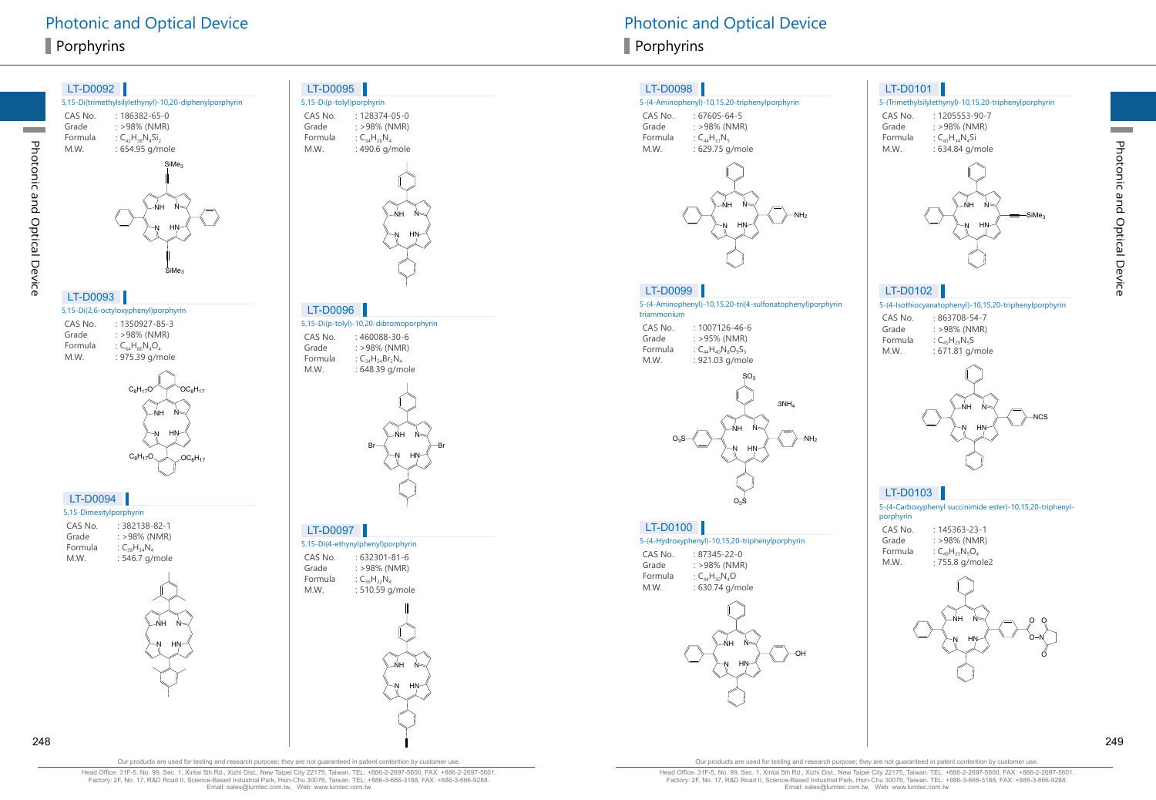

CAS No. : 128374-05-0<br>Grade : >98% (NMR) Grade : >98% (NMR)<br>Formula :  $C_{34}H_{26}N_A$ Formula :  $C_{34}H_{26}N_4$ <br>M.W. : 490.6 q/  $: 490.6$  g/mole



5,15-Di(p-tolyl)-10,20-dibromoporphyrin LT-D0096

CAS No. : 460088-30-6<br>Grade : > 98% (NMR)  $: >98\%$  (NMR) Formula :  $C_{34}H_{24}Br_2N_4$ <br>M.W. : 648.39 a/m : 648.39 g/mole



#### LT-D0097

5,15-Di(4-ethynylphenyl)porphyrin CAS No. : 632301-81-6<br>Grade : >98% (NMR) Grade : >98% (NMR)<br>Formula :  $C_{36}H_{22}N_4$ Formula  $\qquad \qquad : C_{36}H_{22}N_4$ <br>M W  $\qquad \qquad$  510 59 g  $: 510.59$  g/mole



#### LT-D0098

#### 5-(4-Aminophenyl)-10,15,20-triphenylporphyrin

CAS No. : 67605-64-5<br>Grade : >98% (NMR Grade : >98% (NMR)<br>Formula :  $C_{AA}H_{31}N_5$ Formula :  $C_{44}H_{31}N_5$ <br>M.W. : 629.75 q : 629.75 g/mole



#### LT-D0099

5-(4-Aminophenyl)-10,15,20-tri(4-sulfonatophenyl)porphyrin triammonium

CAS No. : 1007126-46-6<br>Grade : >95% (NMR) Grade : >95% (NMR)<br>Formula :  $C_{44}H_{40}N_8O_9S_3$ Formula  $C_{44}H_{40}N_8O_9S_3$ <br>M.W. : 921.03 g/mo : 921.03 g/mole



#### LT-D0100

5-(4-Hydroxyphenyl)-10,15,20-triphenylporphyrin

CAS No. : 87345-22-0<br>Grade : >98% (NMR Grade : >98% (NMR)<br>Formula :  $C_{44}H_{30}N_4O$ Formula :  $C_{44}H_{30}N_{4}O$ <br>M.W. : 630.74 g/r  $: 630.74$  g/mole



#### LT-D0101

#### 5-(Trimethylsilylethynyl)-10,15,20-triphenylporphyrin

CAS No. : 1205553-90-7<br>Grade : >98% (NMR) Grade : >98% (NMR)<br>Formula :  $C_{A3}H_{34}N_{4}Si$ Formula :  $C_{43}H_{34}N_{4}Si$ <br>M.W. : 634.84 g/n : 634.84 g/mole



#### LT-D0102

5-(4-Isothiocyanatophenyl)-10,15,20-triphenylporphyrin

| CAS No. | $:863708 - 54 - 7$   |
|---------|----------------------|
| Grade   | $: >98\%$ (NMR)      |
| Formula | : $C_{45}H_{29}N_5S$ |
| M.W.    | : 671.81 g/mole      |



## LT-D0103

5-(4-Carboxyphenyl succinimide ester)-10,15,20-triphenylporphyrin CAS No. : 145363-23-1 Grade : >98% (NMR)<br>Formula :  $C_{49}H_{33}N_5O_4$ Formula :  $C_{49}H_{33}N_5O_4$ <br>M.W. : 755.8 g/mc : 755.8 g/mole2



248 249

Photonic and Optical Device

Photonic and Optical Device

Our products are used for testing and research purpose; they are not guaranteed in patent contention by customer use.

Head Office: 31F-5, No. 99, Sec. 1, Xintai 5th Rd., Xizhi Dist., New Taipei City 22175, Taiwan. TEL: +886-2-2697-5600, FAX: +886-2-2697-5601. Factory: 2F, No. 17, R&D Road II, Science-Based Industrial Park, Hsin-Chu 30076, Taiwan. TEL: +886-3-666-3188, FAX: +886-3-666-9288. Email: sales@lumtec.com.tw, Web: www.lumtec.com.tw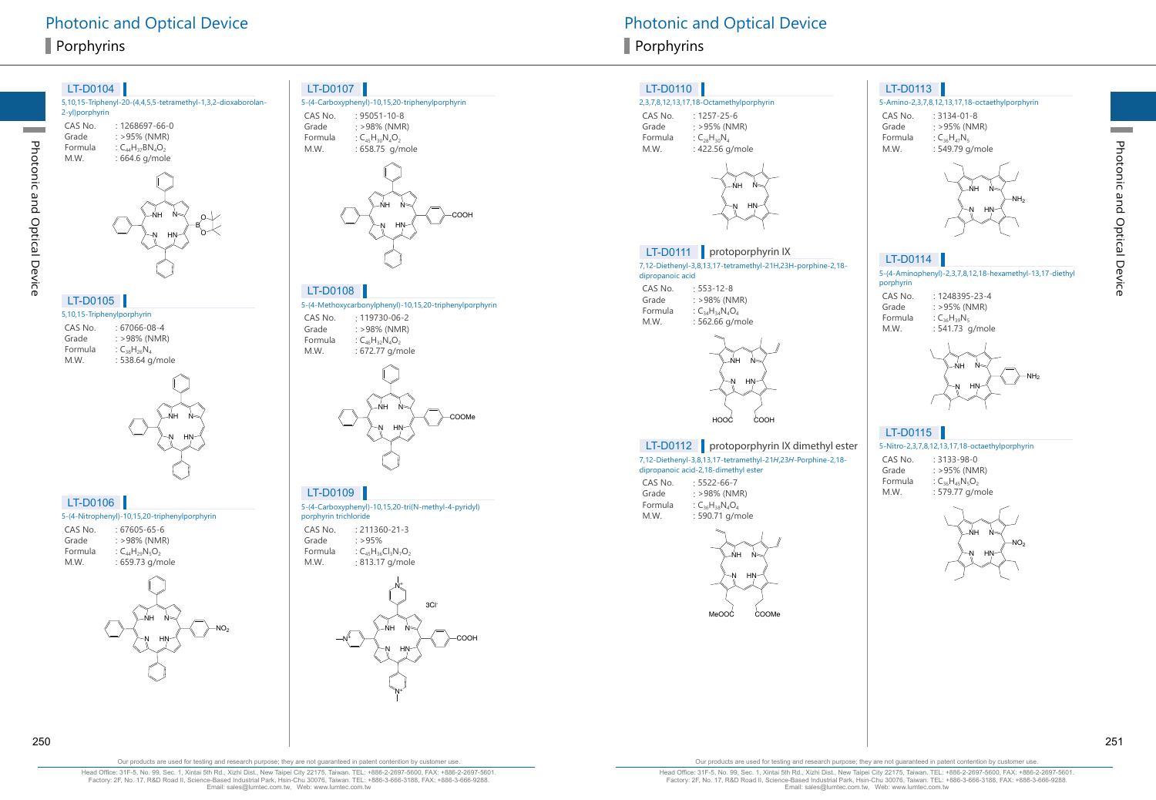Photonic and Optical Device

Photonic and Optical Device





|  |  | LT-D0106 |
|--|--|----------|
|  |  |          |

#### 5-(4-Nitrophenyl)-10,15,20-triphenylporphyrin

| CAS No. | : 67605-65-6           |
|---------|------------------------|
| Grade   | $: >98\%$ (NMR)        |
| Formula | : $C_{44}H_{29}N_5O_2$ |
| M.W.    | : 659.73 g/mole        |
|         |                        |



#### LT-D0107

5-(4-Carboxyphenyl)-10,15,20-triphenylporphyrin CAS No. : 95051-10-8<br>Grade : > 98% (NMR Grade : >98% (NMR)<br>Formula :  $C_{45}H_{30}N_{4}O_{2}$ Formula :  $C_{45}H_{30}N_{4}O_{2}$ <br>M.W. : 658.75 g/n : 658.75 g/mole



#### 5-(4-Methoxycarbonylphenyl)-10,15,20-triphenylporphyrin LT-D0108

CAS No. : 119730-06-2<br>Grade : >98% (NMR)  $: >98\%$  (NMR) Formula  $C_{46}H_{32}N_4O_2$ <br>M.W.  $: 672.77 \text{ g/m}$  $: 672.77$  g/mole



#### LT-D0109

5-(4-Carboxyphenyl)-10,15,20-tri(N-methyl-4-pyridyl)

porphyrin trichloride CAS No. : 211360-21-3 Grade  $: >95\%$ <br>Formula  $: C_{45}H_{36}$ Formula :  $C_{45}H_{36}Cl_{3}N_{7}O_{2}$ <br>M.W. : 813.17 g/mol



# Photonic and Optical Device **Photonic and Optical Device** Photonic and Optical Device

#### LT-D0110

#### 2,3,7,8,12,13,17,18-Octamethylporphyrin

CAS No. : 1257-25-6<br>Grade : >95% (NM Grade : >95% (NMR)<br>Formula : C<sub>28</sub>H<sub>30</sub>N<sub>4</sub> Formula :  $C_{28}H_{30}N_4$ <br>M.W. : 422.56 g  $: 422.56$  g/mole



#### LT-D0111 protoporphyrin IX

7,12-Diethenyl-3,8,13,17-tetramethyl-21H,23H-porphine-2,18 dipropanoic acid

CAS No. : 553-12-8<br>Grade : >98% (NM Grade : >98% (NMR)<br>Formula :  $C_{34}H_{34}N_{4}O_{4}$ Formula :  $C_{34}H_{34}N_{4}O_{4}$ <br>M.W. : 562.66 g/m  $: 562.66$  g/mole



#### LT-D0112 protoporphyrin IX dimethyl ester

7,12-Diethenyl-3,8,13,17-tetramethyl-21H,23H-Porphine-2,18 dipropanoic acid-2,18-dimethyl ester CAS No. : 5522-66-7<br>Grade : > 98% (NM

 $: >98\%$  (NMR) Formula :  $C_{36}H_{38}N_4O_4$ <br>M.W. : 590.71 g/m : 590.71 g/mole



LT-D0113

#### 5-Amino-2,3,7,8,12,13,17,18-octaethylporphyrin

CAS No. : 3134-01-8<br>Grade : >95% (NM Grade : >95% (NMR)<br>Formula :  $C_{36}H_{47}N_5$ Formula :  $C_{36}H_{47}N_5$ <br>M.W. : 549.79 q  $: 549.79$  g/mole



#### LT-D0114

5-(4-Aminophenyl)-2,3,7,8,12,18-hexamethyl-13,17-diethyl porphyrin

| CAS No. | $.1248395 - 23 - 4$ |
|---------|---------------------|
| Grade   | $: >95\%$ (NMR)     |
| Formula | : $C_{36}H_{39}N_5$ |
| M.W.    | : 541.73 g/mole     |



#### 5-Nitro-2,3,7,8,12,13,17,18-octaethylporphyrin LT-D0115

CAS No. : 3133-98-0<br>Grade : >95% (NM  $: >95\%$  (NMR)

Formula :  $C_{36}H_{45}N_5O_2$ <br>M.W. : 579.77 g/m : 579.77 g/mole



250 251

Our products are used for testing and research purpose; they are not guaranteed in patent contention by customer use.

Head Office: 31F-5, No. 99, Sec. 1, Xintai 5th Rd., Xizhi Dist., New Taipei City 22175, Taiwan. TEL: +886-2-2697-5600, FAX: +886-2-2697-5601. Factory: 2F, No. 17, R&D Road II, Science-Based Industrial Park, Hsin-Chu 30076, Taiwan. TEL: +886-3-666-3188, FAX: +886-3-666-9288. Email: sales@lumtec.com.tw, Web: www.lumtec.com.tw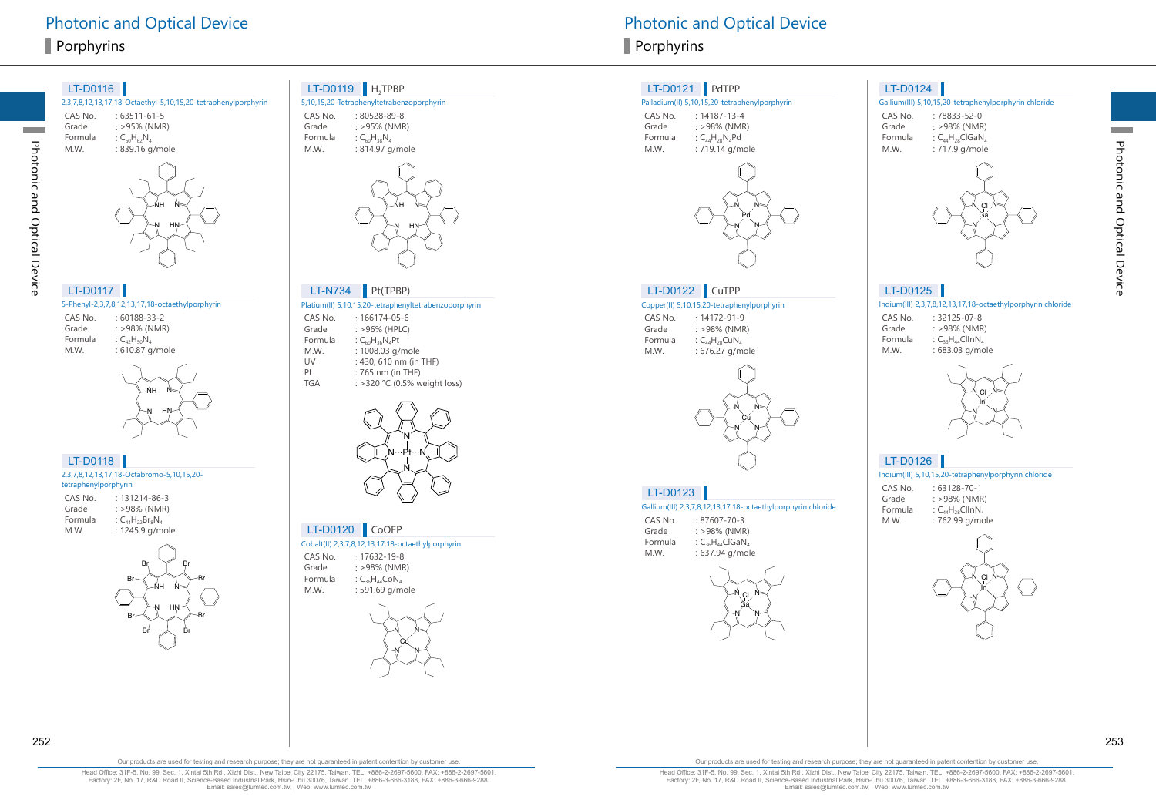Photonic and Optical Device

Photonic and Optical Device

# LT-D0117

5-Phenyl-2,3,7,8,12,13,17,18-octaethylporphyrin CAS No. : 60188-33-2<br>Grade : >98% (NMR Grade  $: >98\%$  (NMR)<br>Formula  $: C_{\Omega}H_{\Omega}N$ . Formula :  $C_{42}H_{50}N_4$ <br>M.W. : 610.87 q : 610.87 g/mole



HN

-NH

N

LT-D0118

|                      | 2,3,7,8,12,13,17,18-Octabromo-5,10,15,20- |
|----------------------|-------------------------------------------|
| tetraphenylporphyrin |                                           |
| CAS No.              | $: 131214 - 86 - 3$                       |
| Grade                | $: >98\%$ (NMR)                           |
| Formula              | : $C_{44}H_{22}Br_{8}N_{4}$               |
| M.W.                 | : 1245.9 g/mole                           |



# LT-D0119  $H_2$ TPBP<br>5, 10, 15, 20-Tetraphenyltetraben

|         | 5,10,15,20-Tetraphenyltetrabenzoporphyrin |
|---------|-------------------------------------------|
| CAS No. | $:80528-89-8$                             |
| Grade   | $: >95\%$ (NMR)                           |
| Formula | : $C_{60}H_{38}N_A$                       |
| M.W.    | : 814.97 g/mole                           |



#### Platium(II) 5,10,15,20-tetraphenyltetrabenzoporphyrin LT-N734 Pt(TPBP)

| CAS No.    | $: 166174 - 05 - 6$           |
|------------|-------------------------------|
| Grade      | $: >96\%$ (HPLC)              |
| Formula    | : $C_{60}H_{36}N_{4}Pt$       |
| M.W.       | : 1008.03 g/mole              |
| UV         | : 430, 610 nm (in THF)        |
| PI         | : 765 nm (in THF)             |
| <b>TGA</b> | : > 320 °C (0.5% weight loss) |
|            |                               |



## LT-D0120 CoOEP

Cobalt(II) 2,3,7,8,12,13,17,18-octaethylporphyrin

CAS No. : 17632-19-8 Grade : >98% (NMR)<br>Formula :  $C_{36}H_{44}CoN_{4}$ Formula  $C_{36}H_{44}CoN_4$ <br>M.W.  $: 591.69$  g/m : 591.69 g/mole



#### LT-D0121 PdTPP

#### Palladium(II) 5,10,15,20-tetraphenylporphyrin

CAS No. : 14187-13-4<br>Grade : >98% (NMF Grade : >98% (NMR)<br>Formula :  $C_{44}H_{28}N_{4}Pd$ Formula :  $C_{44}H_{28}N_{4}Pd$ <br>M.W. : 719.14 g/m  $: 719.14$  g/mole



## LT-D0122 CuTPP

#### Copper(II) 5,10,15,20-tetraphenylporphyrin

CAS No. : 14172-91-9<br>Grade : >98% (NMF Grade  $: >98\%$  (NMR)<br>Formula  $: C_{44}H_{28}CuN_4$ Formula  $C_{44}H_{28}CuN_4$ <br>M.W. : 676.27 g/m : 676.27 g/mole



#### LT-D0123

Gallium(III) 2,3,7,8,12,13,17,18-octaethylporphyrin chloride

CAS No. : 87607-70-3<br>Grade : >98% (NMF Grade : >98% (NMR)<br>Formula : C<sub>26</sub>H<sub>44</sub>ClGaN Formula  $C_{36}H_{44}ClGaN$ <br>M.W.  $: 637.94$  g/mo : 637.94 g/mole



#### LT-D0124

#### Gallium(III) 5,10,15,20-tetraphenylporphyrin chloride

CAS No. : 78833-52-0<br>Grade : >98% (NMR Grade : >98% (NMR)<br>Formula :  $C_{AA}H_{28}CIGaN_{4}$ Formula  $C_{44}H_{28}ClGaN_4$ <br>M.W.  $: 717.9$  g/mole : 717.9 g/mole



# LT-D0125

Indium(III) 2,3,7,8,12,13,17,18-octaethylporphyrin chloride

| CAS No. | $: 32125 - 07 - 8$      |
|---------|-------------------------|
| Grade   | $: >98\%$ (NMR)         |
| Formula | : $C_{36}H_{44}ClINN_4$ |
| M.W.    | : 683.03 g/mole         |



## LT-D0126

Indium(III) 5,10,15,20-tetraphenylporphyrin chloride

| CAS No. | $: 63128 - 70 - 1$                   |
|---------|--------------------------------------|
| Grade   | $: >98\%$ (NMR)                      |
| Formula | : $C_{44}H_{28}ClINN_4$              |
| .       | $\equiv$ $\sim$ $\sim$ $\sim$ $\sim$ |



Formula  $\qquad \qquad : \mathsf{C}_{44}\mathsf{H}_{28}\mathsf{ClInN}_4$ M.W. : 762.99 g/mole

Our products are used for testing and research purpose; they are not guaranteed in patent contention by customer use.

Head Office: 31F-5, No. 99, Sec. 1, Xintai 5th Rd., Xizhi Dist., New Taipei City 22175, Taiwan. TEL: +886-2-2697-5600, FAX: +886-2-2697-5601. Factory: 2F, No. 17, R&D Road II, Science-Based Industrial Park, Hsin-Chu 30076, Taiwan. TEL: +886-3-666-3188, FAX: +886-3-666-9288. Email: sales@lumtec.com.tw, Web: www.lumtec.com.tw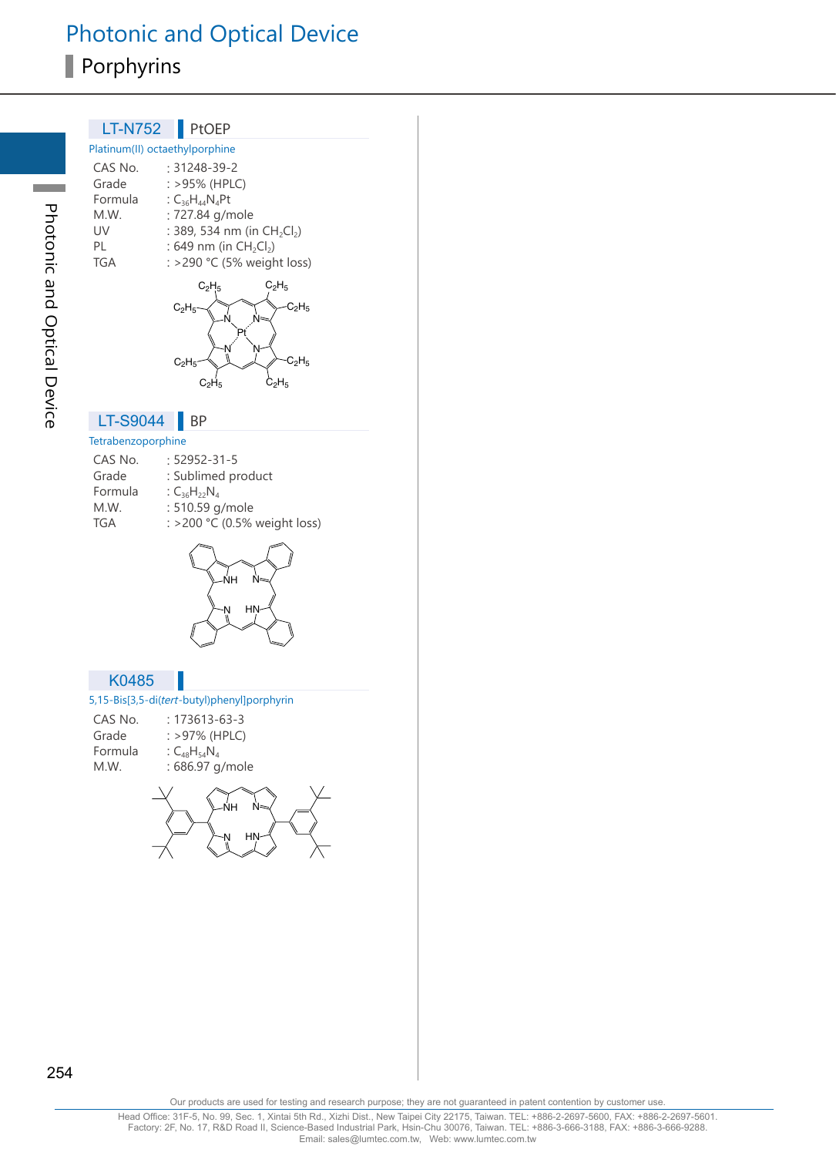# Photonic and Optical Device Porphyrins

| <b>LT-N752</b>     | PtOEP                                                                  |
|--------------------|------------------------------------------------------------------------|
|                    | Platinum(II) octaethylporphine                                         |
| CAS No.<br>Grade   | : 31248-39-2<br>: >95% (HPLC)                                          |
| Formula            | : $C_{36}H_{44}N_{4}Pt$                                                |
| M.W.<br>UV         | : 727.84 g/mole<br>: 389, 534 nm (in CH <sub>2</sub> Cl <sub>2</sub> ) |
| PL                 | : 649 nm (in $CH_2Cl_2$ )                                              |
| <b>TGA</b>         | : >290 °C (5% weight loss)                                             |
|                    | $C_2H_5$<br>$C_2H_5$                                                   |
|                    | $-C2H5$<br>$C_2H_5$                                                    |
|                    |                                                                        |
|                    |                                                                        |
|                    | $\mathsf{C_2H_5}$<br>$C_2H_5$                                          |
|                    | $\mathrm{\dot{C}_2H_5}$<br>$C_2H_5$                                    |
| LT-S9044           | ΒP                                                                     |
| Tetrabenzoporphine |                                                                        |
| CAS No.            | : 52952-31-5                                                           |
| Grade              | : Sublimed product                                                     |
| Formula            | : $C_{36}H_{22}N_4$                                                    |
| M.W.               | : 510.59 g/mole                                                        |
| <b>TGA</b>         | : >200 °C (0.5% weight loss)                                           |
|                    | /<br>NH<br>Ń<br>HN                                                     |
| K0485              |                                                                        |
| CAS No.            | 5,15-Bis[3,5-di(tert-butyl)phenyl]porphyrin<br>$: 173613 - 63 - 3$     |
| Grade              | : >97% (HPLC)                                                          |
| Formula            | : $C_{48}H_{54}N_4$                                                    |
| M.W.               | : 686.97 g/mole                                                        |
|                    |                                                                        |
|                    | ŃH                                                                     |
|                    |                                                                        |
|                    |                                                                        |
|                    |                                                                        |
|                    |                                                                        |
|                    |                                                                        |
|                    |                                                                        |

Photonic and Optical Device Photonic and Optical Device

a a

254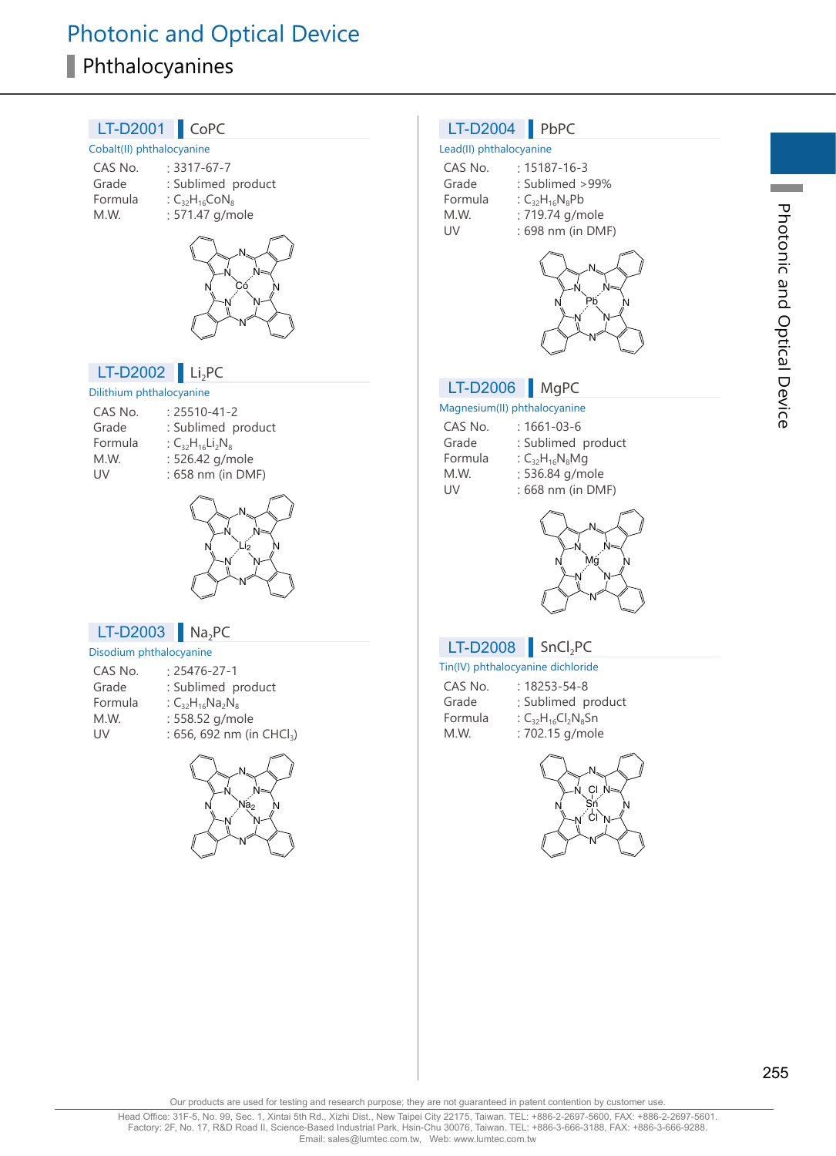# Photonic and Optical Device Phthalocyanines



Our products are used for testing and research purpose; they are not guaranteed in patent contention by customer use.

255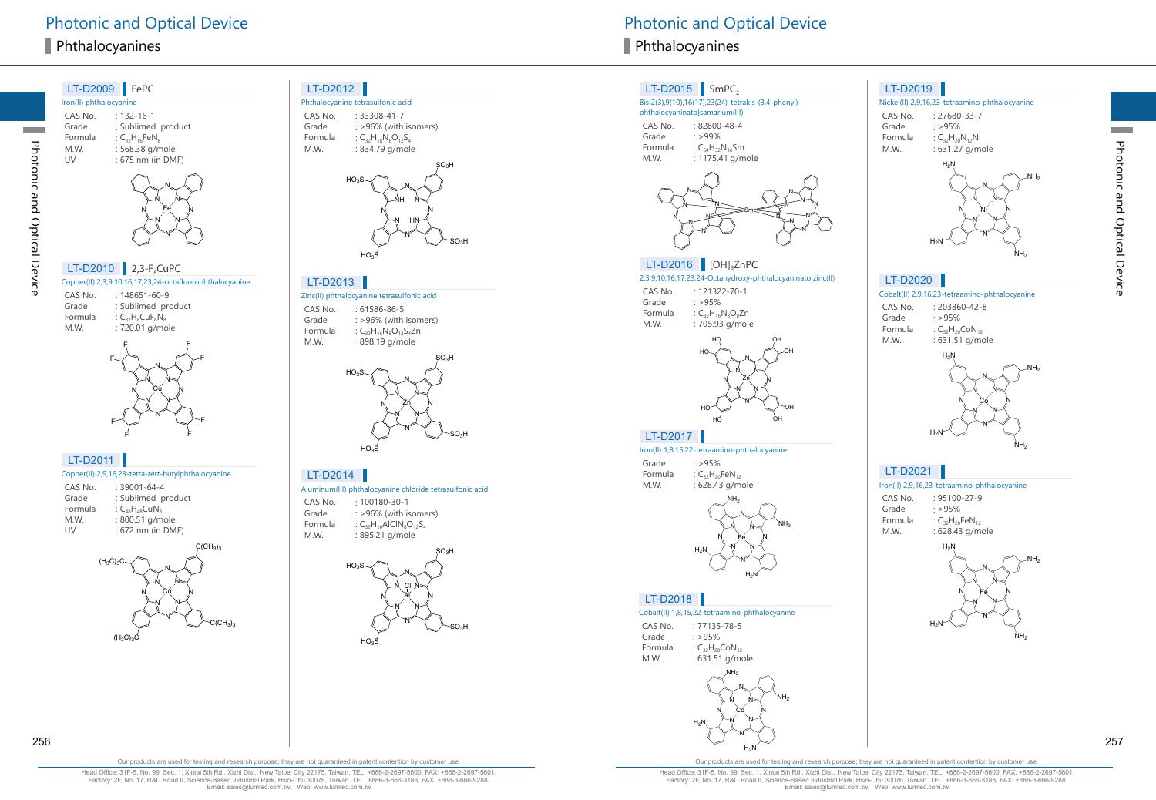

N N

N N Çų

 $(H_3C)_3C$ 

N

 $\mathrm{C}(\mathrm{CH}_3)_3$ 

#### LT-D2012

Phthalocyanine tetrasulfonic acid CAS No. : 33308-41-7 Grade : >96% (with isomers) Formula :  $C_{32}H_{18}N_8O_{12}S_4$ 



#### LT-D2013

Zinc(II) phthalocyanine tetrasulfonic acid CAS No. : 61586-86-5 Grade : >96% (with isomers) Formula :  $C_{32}H_{16}N_8O_{12}S_4Zn$ : 898.19 g/mole



#### LT-D2014

Aluminum(III) phthalocyanine chloride tetrasulfonic acid CAS No. : 100180-30-1

Grade : >96% (with isomers) Formula :  $C_{32}H_{16}$ AlClN $_8O_{12}S_4$ M.W. : 895.21 g/mole



## LT-D2015  $\blacksquare$  SmPC<sub>2</sub>

#### Bis{2(3),9(10),16(17),23(24)-tetrakis-(3,4-phenyl)-

phthalocyaninato}samarium(III) CAS No. : 82800-48-4 Grade : >99% Formula :  $C_{64}H_{32}N_{16}Sm$ M.W. : 1175.41 g/mole



### LT-D2016 [OH]<sub>8</sub>ZnPC

2,3,9,10,16,17,23,24-Octahydroxy-phthalocyaninato zinc(II)

| CAS No.<br>Grade | $: 121322 - 70 - 1$<br>$\cdot$ >95% |
|------------------|-------------------------------------|
| Formula          | : $C_{32}H_{16}N_8O_8Zn$            |
| M.W.             | : 705.93 g/mole                     |



### LT-D2017

Iron(II) 1,8,15,22-tetraamino-phthalocyanine Grade : >95% Formula :  $C_{32}H_{20}$ FeN $_{12}$ M.W. : 628.43 g/mole



#### LT-D2018

#### Cobalt(II) 1,8,15,22-tetraamino-phthalocyanine

CAS No. : 77135-78-5 Grade : >95% Formula :  $C_{32}H_{20}$ CoN<sub>12</sub> M.W. : 631.51 g/mole



#### LT-D2019

#### Nickel(II) 2,9,16,23-tetraamino-phthalocyanine CAS No. : 27680-33-7

Grade : >95% Formula :  $C_{32}H_{20}N_{12}Ni$ M.W. : 631.27 g/mole



#### LT-D2020

Cobalt(II) 2,9,16,23-tetraamino-phthalocyanine

| CAS No. | $: 203860 - 42 - 8$      |
|---------|--------------------------|
| Grade   | : >95%                   |
| Formula | : $C_{32}H_{20}CoN_{12}$ |
| M.W.    | : 631.51 g/mole          |



#### Iron(II) 2,9,16,23-tetraamino-phthalocyanine

CAS No. : 95100-27-9 Grade : >95% Formula :  $C_{32}H_{20}$ FeN $_{12}$ M.W. : 628.43 g/mole



Photonic and Optical Device

Photonic and Optical Device

Our products are used for testing and research purpose; they are not guaranteed in patent contention by customer use

Head Office: 31F-5, No. 99, Sec. 1, Xintai 5th Rd., Xizhi Dist., New Taipei City 22175, Taiwan. TEL: +886-2-2697-5600, FAX: +886-2-2697-5601. Factory: 2F, No. 17, R&D Road II, Science-Based Industrial Park, Hsin-Chu 30076, Taiwan. TEL: +886-3-666-3188, FAX: +886-3-666-9288. Email: sales@lumtec.com.tw, Web: www.lumtec.com.tw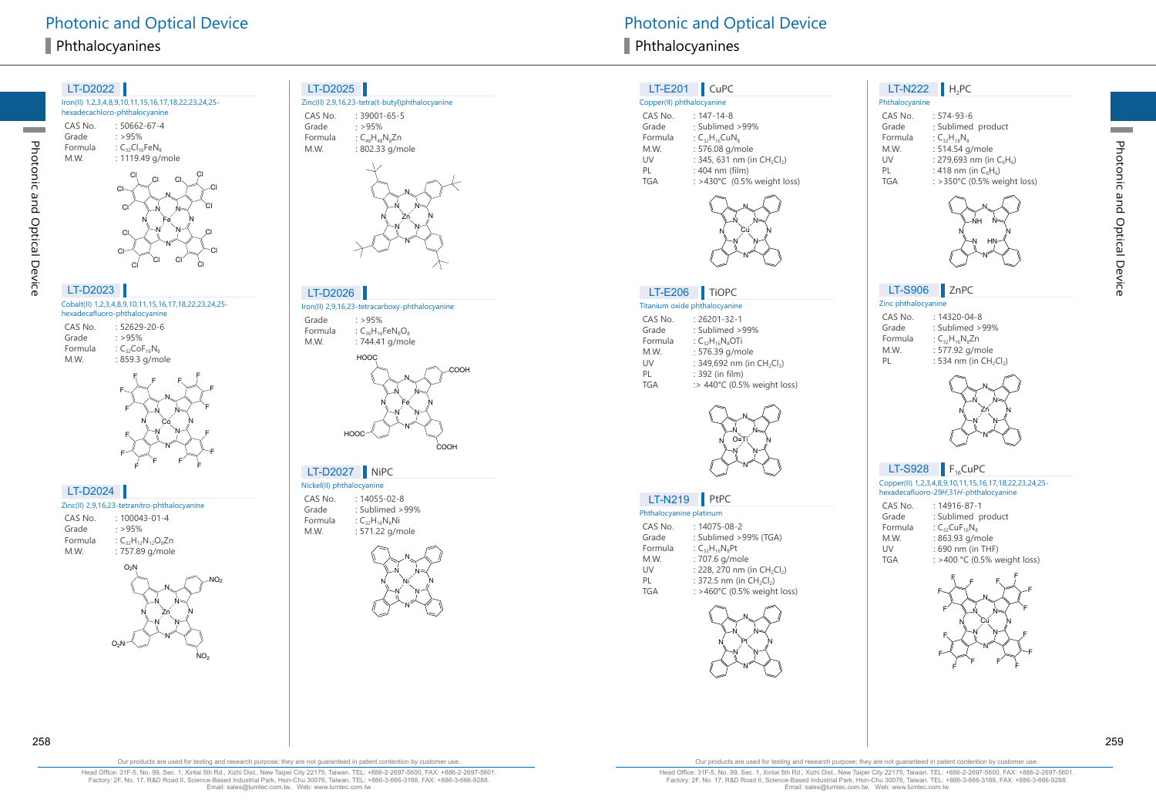



2

#### LT-D2025

Zinc(II) 2,9,16,23-tetra(t-butyl)phthalocyanine CAS No. : 39001-65-5 : >95%



## LT-D2026

Iron(II) 2,9,16,23-tetracarboxy-phthalocyanine

: >95% Formula :  $C_{36}H_{16}$ Fe $N_8O_8$ : 744.41 g/mole



#### Nickel(II) phthalocyanine LT-D2027 NiPC

: 14055-02-8 : Sublimed >99% :  $C_{32}H_{16}N_8Ni$ : 571.22 g/mole



Photonic and Optical Device **Photonic and Optical Device** Photonic and Optical Device

#### LT-E201 CuPC

| Copper(II) phthalocyanine |                                                     |
|---------------------------|-----------------------------------------------------|
| CAS No.                   | $: 147 - 14 - 8$                                    |
| Grade                     | : Sublimed >99%                                     |
| Formula                   | : $C_{32}H_{16}CuN_8$                               |
| M.W.                      | : 576.08 g/mole                                     |
| UV                        | : 345, 631 nm (in CH <sub>2</sub> Cl <sub>2</sub> ) |
| PL                        | : 404 nm (film)                                     |
| <b>TGA</b>                | : >430°C (0.5% weight loss)                         |
|                           |                                                     |



#### Titanium oxide phthalocyanine LT-E206 TiOPC

| CAS No.    | $: 26201 - 32 - 1$                                 |
|------------|----------------------------------------------------|
| Grade      | : Sublimed >99%                                    |
| Formula    | : $C_{32}H_{16}N_8$ OTi                            |
| M.W.       | : 576.39 g/mole                                    |
| UV         | : 349,692 nm (in CH <sub>2</sub> Cl <sub>2</sub> ) |
| PL         | : 392 (in film)                                    |
| <b>TGA</b> | :> 440°C (0.5% weight loss)                        |



## LT-N219 PtPC

| Phthalocyanine platinum |                                                     |  |
|-------------------------|-----------------------------------------------------|--|
| CAS No.                 | $: 14075 - 08 - 2$                                  |  |
| Grade                   | : Sublimed >99% (TGA)                               |  |
| Formula                 | : $C_{32}H_{16}N_{8}Pt$                             |  |
| M.W.                    | : 707.6 g/mole                                      |  |
| UV                      | : 228, 270 nm (in CH <sub>2</sub> Cl <sub>2</sub> ) |  |
| PL                      | : 372.5 nm (in $CH_2Cl_2$ )                         |  |
| <b>TGA</b>              | : >460°C (0.5% weight loss)                         |  |
|                         |                                                     |  |



#### Phthalocyanine LT-N222 **H**<sub>2</sub>PC

| r i ili i divcydi ili ie |                             |
|--------------------------|-----------------------------|
| CAS No.                  | $: 574 - 93 - 6$            |
| Grade                    | : Sublimed product          |
| Formula                  | $:C_{32}H_{18}N_{8}$        |
| M.W.                     | : 514.54 g/mole             |
| UV                       | : 279,693 nm (in $C_6H_6$ ) |
| PL                       | : 418 nm (in $C_6H_6$ )     |
| <b>TGA</b>               | : >350°C (0.5% weight loss) |
|                          |                             |



## LT-S906 ZnPC

#### Zinc phthalocyanine

| CAS No. | $: 14320 - 04 - 8$        |
|---------|---------------------------|
| Grade   | $:$ Sublimed $>99\%$      |
| Formula | : $C_{32}H_{16}N_8Zn$     |
| M.W.    | : 577.92 g/mole           |
| PL      | : 534 nm (in $CH_2Cl_2$ ) |
|         |                           |



## $LT-S928$   $F_{16}$ CuPC

Copper(II) 1,2,3,4,8,9,10,11,15,16,17,18,22,23,24,25 hexadecafluoro-29 <sup>H</sup>,31 <sup>H</sup>-phthalocyanine

| CAS No. | $: 14916 - 87 - 1$                          |
|---------|---------------------------------------------|
| Grade   | : Sublimed product                          |
| Formula | : $C_{32}$ CuF <sub>16</sub> N <sub>8</sub> |
| M.W.    | : 863.93 g/mole                             |
| UV      | : 690 nm (in THF)                           |
| TGA     | : >400 °C (0.5% weight loss)                |



**Contract** 

Photonic and Optical Device

Photonic and Optical Device

**Contract** 

Our products are used for testing and research purpose; they are not guaranteed in patent contention by customer use.

Head Office: 31F-5, No. 99, Sec. 1, Xintai 5th Rd., Xizhi Dist., New Taipei City 22175, Taiwan. TEL: +886-2-2697-5600, FAX: +886-2-2697-5601. Factory: 2F, No. 17, R&D Road II, Science-Based Industrial Park, Hsin-Chu 30076, Taiwan. TEL: +886-3-666-3188, FAX: +886-3-666-9288. Email: sales@lumtec.com.tw, Web: www.lumtec.com.tw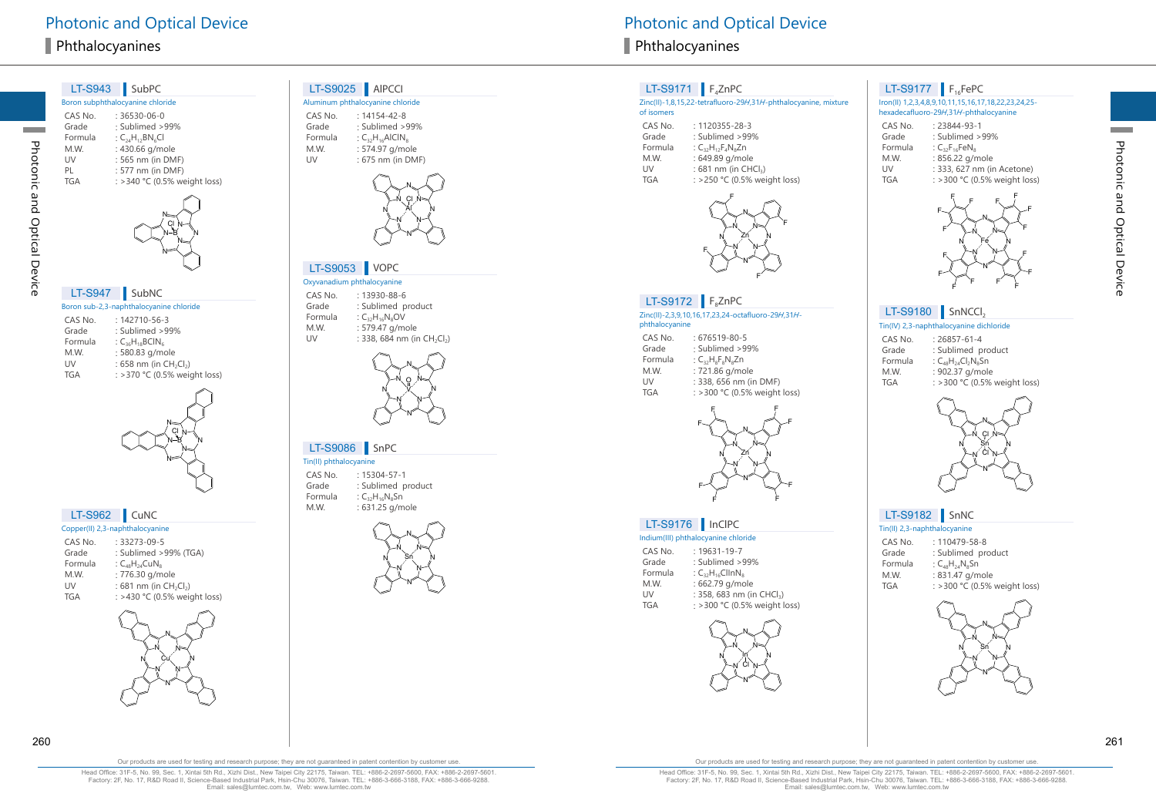Photonic and Optical Device

Photonic and Optical Device

|                  | LT-S943 SubPC                                              |
|------------------|------------------------------------------------------------|
|                  | Boron subphthalocyanine chloride                           |
| CAS No.          | $: 36530 - 06 - 0$                                         |
| Grade            | : Sublimed > 99%                                           |
| Formula<br>M.W.  | : $C_{24}H_{12}BN_6Cl$<br>: 430.66 g/mole                  |
| UV               | : 565 nm (in DMF)                                          |
| PL               | : 577 nm (in DMF)                                          |
| <b>TGA</b>       | : > 340 °C (0.5% weight loss)                              |
|                  |                                                            |
| <b>LT-S947</b>   | SubNC                                                      |
|                  | Boron sub-2,3-naphthalocyanine chloride                    |
| CAS No.<br>Grade | : 142710-56-3<br>: Sublimed >99%                           |
| Formula          | : $C_{36}H_{18}BCIN_6$                                     |
| M.W.             | : 580.83 g/mole                                            |
| UV<br><b>TGA</b> | : 658 nm (in $CH_2Cl_2$ )<br>: > 370 °C (0.5% weight loss) |
|                  |                                                            |
|                  |                                                            |
|                  | LT-S962   CuNC                                             |
|                  | Copper(II) 2,3-naphthalocyanine                            |
| CAS No.          | : 33273-09-5                                               |
| Grade<br>Formula | : Sublimed >99% (TGA)<br>: $C_{48}H_{24}CuN_8$             |
| M.W.             | : 776.30 g/mole                                            |
| UV               | : 681 nm (in CH <sub>2</sub> Cl <sub>2</sub> )             |
| <b>TGA</b>       | : >430 °C (0.5% weight loss)                               |
|                  |                                                            |

N<br>N N

Cu

N

N

N N

#### LT-S9025 AlPCCI

Aluminum phthalocyanine chloride CAS No. : 14154-42-8

Grade : Sublimed >99% Formula :  $C_{32}H_{16}$ AlCIN $_8$ : 574.97 g/mole : 675 nm (in DMF)

M.W.

UV



#### LT-S9053 VOPC

Oxyvanadium phthalocyanine CAS No. : 13930-88-6 Grade : Sublimed product Formula :  $C_{32}H_{16}N_8$ OV M.W. : 579.47 g/mole UV



#### LT-S9086 SnPC

Tin(II) phthalocyanine CAS No. : 15304-57-1 Grade : Sublimed product Formula :  $C_{32}H_{16}N_8$ Sn M.W. : 631.25 g/mole



## $LT-S9171$   $F_4ZnPC$

#### Zinc(II)-1,8,15,22-tetrafluoro-29 H,31 H-phthalocyanine, mixture of isomers

| CAS No.    | : 1120355-28-3                   |
|------------|----------------------------------|
|            |                                  |
| Grade      | : Sublimed >99%                  |
| Formula    | : $C_{32}H_{12}F_4N_8Zn$         |
| M.W.       | : 649.89 g/mole                  |
| UV         | : 681 nm (in CHCl <sub>3</sub> ) |
| <b>TGA</b> | : >250 °C (0.5% weic             |



#### $LT-S9172$   $F_8ZnPC$

Zinc(II)-2,3,9,10,16,17,23,24-octafluoro-29 <sup>H</sup>,31 H phthalocyanine

| CAS No. | $:676519-80-5$                |
|---------|-------------------------------|
| Grade   | : Sublimed >99%               |
| Formula | : $C_{32}H_8F_8N_8Zn$         |
| M.W.    | : 721.86 g/mole               |
| UV      | : 338, 656 nm (in DMF)        |
| TGA     | : > 300 °C (0.5% weight loss) |
|         |                               |



#### LT-S9176 InClPC

#### Indium(III) phthalocyanine chloride

| CAS No.    | $: 19631 - 19 - 7$                    |
|------------|---------------------------------------|
| Grade      | : Sublimed >99%                       |
| Formula    | : $C_{32}H_{16}ClINR_8$               |
| M.W.       | : 662.79 g/mole                       |
| UV         | : 358, 683 nm (in CHCl <sub>3</sub> ) |
| <b>TGA</b> | : >300 °C (0.5% weight loss)          |



# $LT$ -S9177 F<sub>16</sub>FePC

Iron(II) 1,2,3,4,8,9,10,11,15,16,17,18,22,23,24,25 hexadecafluoro-29 H,31 H-phthalocyanine

| CAS No.    | $: 23844 - 93 - 1$           |
|------------|------------------------------|
| Grade      | : Sublimed >99%              |
| Formula    | : $C_{32}F_{16}FeN_8$        |
| M.W.       | : 856.22 g/mole              |
| UV         | : 333, 627 nm (in Acetone)   |
| <b>TGA</b> | : >300 °C (0.5% weight loss) |



# $LT-S9180$  SnNCCI<sub>2</sub>

Tin(IV) 2,3-naphthalocyanine dichloride

| CAS No. | $: 26857 - 61 - 4$           |
|---------|------------------------------|
| Grade   | : Sublimed product           |
| Formula | : $C_{48}H_{24}Cl_2N_8Sn$    |
| M.W.    | : 902.37 g/mole              |
| TGA     | : >300 °C (0.5% weight loss) |
|         |                              |



## LT-S9182 SnNC

Tin(II) 2,3-naphthalocyanine CAS No. : 110479-58-8

- Grade : Sublimed product Formula :  $C_{48}H_{24}N_8$ Sn M.W. : 831.47 g/mole
- TGA : >300 °C (0.5% weight loss)



Head Office: 31F-5, No. 99, Sec. 1, Xintai 5th Rd., Xizhi Dist., New Taipei City 22175, Taiwan. TEL: +886-2-2697-5600, FAX: +886-2-2697-5601. Factory: 2F, No. 17, R&D Road II, Science-Based Industrial Park, Hsin-Chu 30076, Taiwan. TEL: +886-3-666-3188, FAX: +886-3-666-9288. Email: sales@lumtec.com.tw, Web: www.lumtec.com.tw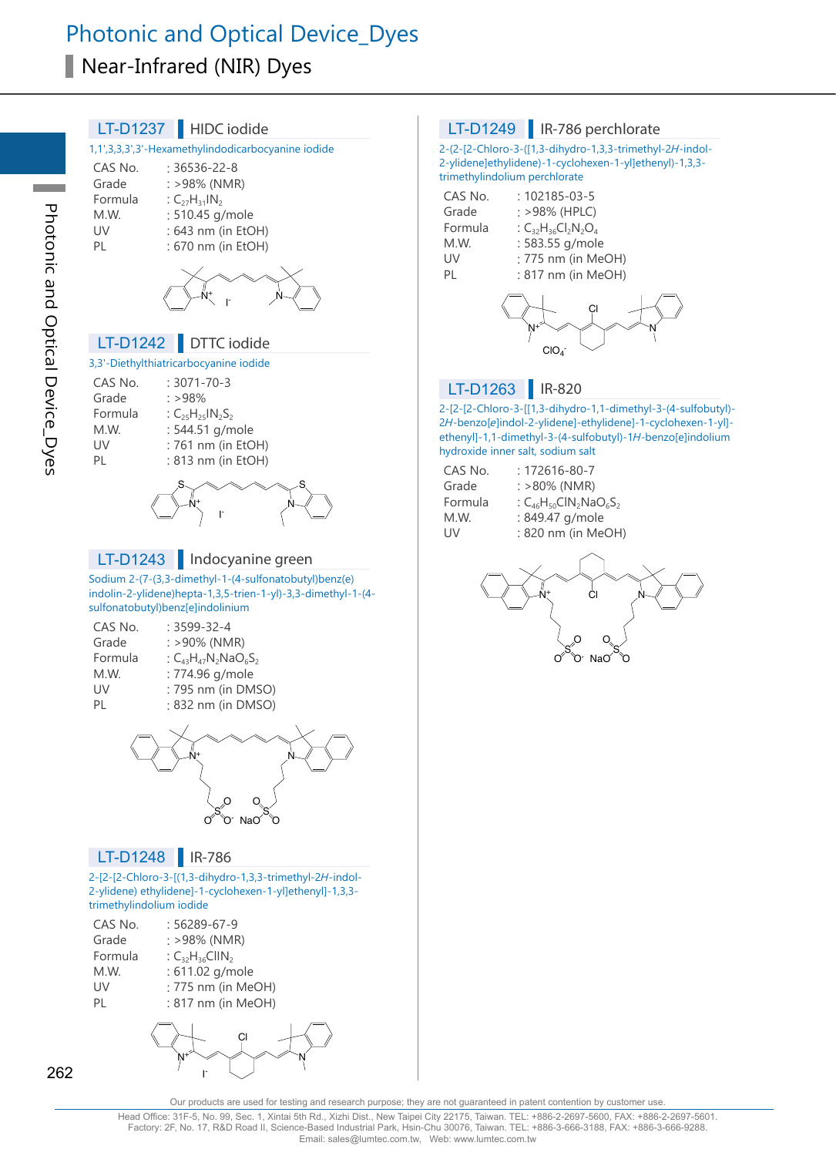# Photonic and Optical Device\_Dyes Near-Infrared (NIR) Dyes

| LT-D1237   HIDC iodide                                       | LT-D1249   IR-786 perc                                          |
|--------------------------------------------------------------|-----------------------------------------------------------------|
| 1,1',3,3,3',3'-Hexamethylindodicarbocyanine iodide           | 2-(2-[2-Chloro-3-([1,3-dihydro-1,3,3                            |
| CAS No.<br>$: 36536 - 22 - 8$                                | 2-ylidene]ethylidene)-1-cyclohexen-                             |
| Grade<br>: >98% (NMR)                                        | trimethylindolium perchlorate                                   |
| Formula<br>: $C_{27}H_{31}IN_2$                              | CAS No.<br>$: 102185 - 03 - 5$                                  |
| M.W.<br>: 510.45 g/mole                                      | Grade<br>: >98% (HPLC)<br>Formula<br>: $C_{32}H_{36}Cl_2N_2O_4$ |
| : 643 nm (in EtOH)<br>UV<br>PL<br>: 670 nm (in EtOH)         | M.W.<br>: 583.55 g/mole                                         |
|                                                              | : 775 nm (in MeO<br>UV                                          |
|                                                              | : 817 nm (in MeO<br>PL                                          |
|                                                              |                                                                 |
|                                                              | CI                                                              |
|                                                              |                                                                 |
| DTTC iodide<br>LT-D1242                                      | ClO <sub>4</sub>                                                |
| 3,3'-Diethylthiatricarbocyanine iodide                       |                                                                 |
| CAS No.<br>$: 3071 - 70 - 3$                                 | LT-D1263<br>IR-820                                              |
| Grade<br>: >98%<br>Formula                                   | 2-[2-[2-Chloro-3-[[1,3-dihydro-1,1-c                            |
| : $C_{25}H_{25}IN_{2}S_{2}$<br>M.W.<br>: 544.51 g/mole       | 2H-benzo[e]indol-2-ylidene]-ethylid                             |
| UV<br>: 761 nm (in EtOH)                                     | ethenyl]-1,1-dimethyl-3-(4-sulfobuty                            |
| : 813 nm (in EtOH)<br>PL                                     | hydroxide inner salt, sodium salt                               |
|                                                              | : 172616-80-7<br>CAS No.<br>$: >80\%$ (NMR)<br>Grade            |
|                                                              | : $C_{46}H_{50}CIN_2NaO_6S$<br>Formula                          |
|                                                              | : 849.47 g/mole<br>M.W.                                         |
|                                                              | : 820 nm (in MeO<br>UV                                          |
| LT-D1243<br>Indocyanine green                                |                                                                 |
| Sodium 2-(7-(3,3-dimethyl-1-(4-sulfonatobutyl)benz(e)        |                                                                 |
| indolin-2-ylidene)hepta-1,3,5-trien-1-yl)-3,3-dimethyl-1-(4- | ĊI                                                              |
| sulfonatobutyl)benz[e]indolinium                             |                                                                 |
| CAS No.<br>$: 3599 - 32 - 4$                                 |                                                                 |
| Grade<br>$: >90\%$ (NMR)                                     |                                                                 |
| Formula<br>: $C_{43}H_{47}N_2NaO_6S_2$                       |                                                                 |
| M.W.<br>: 774.96 g/mole<br>: 795 nm (in DMSO)<br>UV          |                                                                 |
| : 832 nm (in DMSO)<br>PL                                     |                                                                 |
|                                                              |                                                                 |
|                                                              |                                                                 |
|                                                              |                                                                 |
|                                                              |                                                                 |
|                                                              |                                                                 |
| o                                                            |                                                                 |
| O NaO O                                                      |                                                                 |
| <b>LT-D1248</b><br>$\parallel$ IR-786                        |                                                                 |
| 2-[2-[2-Chloro-3-[(1,3-dihydro-1,3,3-trimethyl-2H-indol-     |                                                                 |
| 2-ylidene) ethylidene]-1-cyclohexen-1-yl]ethenyl]-1,3,3-     |                                                                 |
| trimethylindolium iodide                                     |                                                                 |
| CAS No.<br>: 56289-67-9                                      |                                                                 |
| Grade<br>: >98% (NMR)                                        |                                                                 |
| Formula<br>: $C_{32}H_{36}CIII_{2}$                          |                                                                 |
| M.W.<br>: 611.02 g/mole                                      |                                                                 |
| UV<br>: 775 nm (in MeOH)<br>PL<br>: 817 nm (in MeOH)         |                                                                 |
|                                                              |                                                                 |
| СI                                                           |                                                                 |
|                                                              |                                                                 |
| I.                                                           |                                                                 |
|                                                              |                                                                 |

#### :hlorate

-trimethyl-2H-indol--1-yl]ethenyl)-1,3,3-

| CAS No. | $: 102185 - 03 - 5$        |
|---------|----------------------------|
| Grade   | : >98% (HPLC)              |
| Formula | : $C_{32}H_{36}Cl_2N_2O_4$ |
| M.W.    | : 583.55 g/mole            |
| UV      | : 775 nm (in MeOH)         |
| PL      | : 817 nm (in MeOH)         |
|         |                            |



dimethyl-3-(4-sulfobutyl)dene]-1-cyclohexen-1-yl]yl)-1H-benzo[e]indolium

| CAS No. | $: 172616 - 80 - 7$           |
|---------|-------------------------------|
| Grade   | $: >80\%$ (NMR)               |
| Formula | : $C_{46}H_{50}CIN_2NaO_6S_2$ |
| M.W.    | : 849.47 g/mole               |
| UV      | : 820 nm (in MeOH)            |



Our products are used for testing and research purpose; they are not guaranteed in patent contention by customer use.

262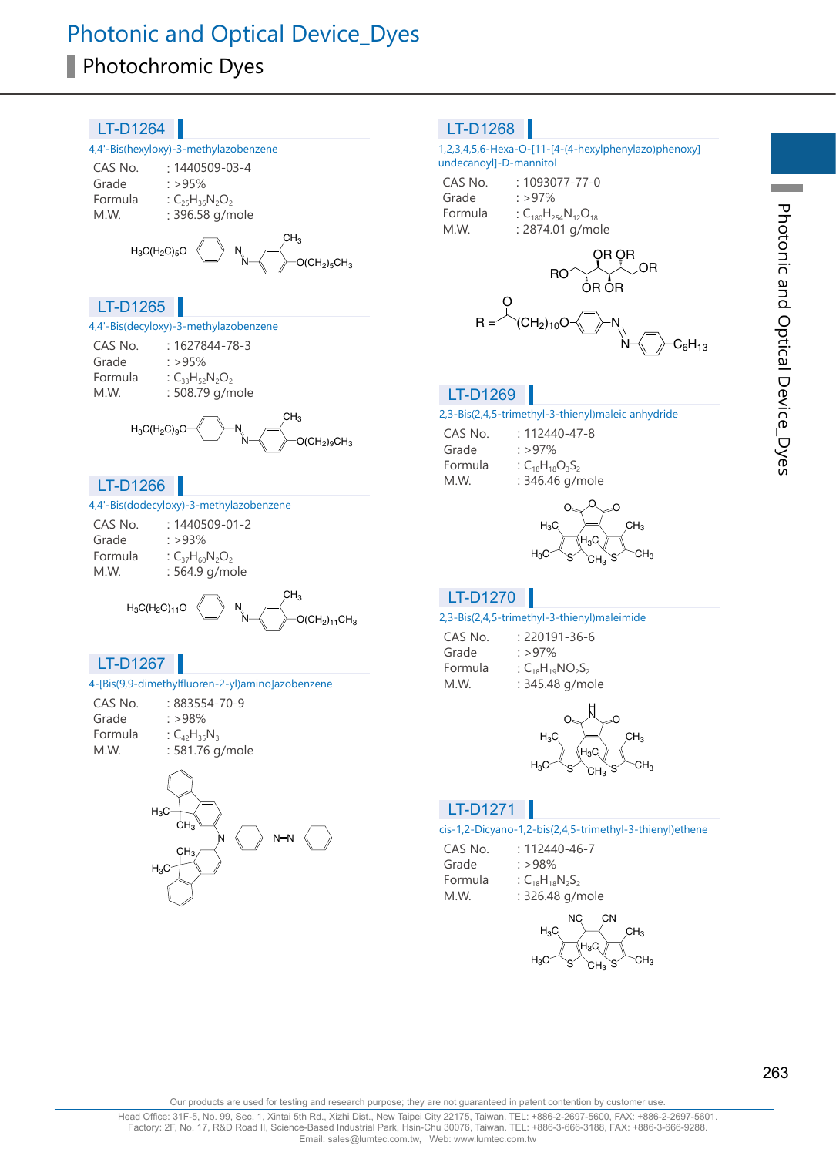# Photonic and Optical Device\_Dyes Photochromic Dyes



263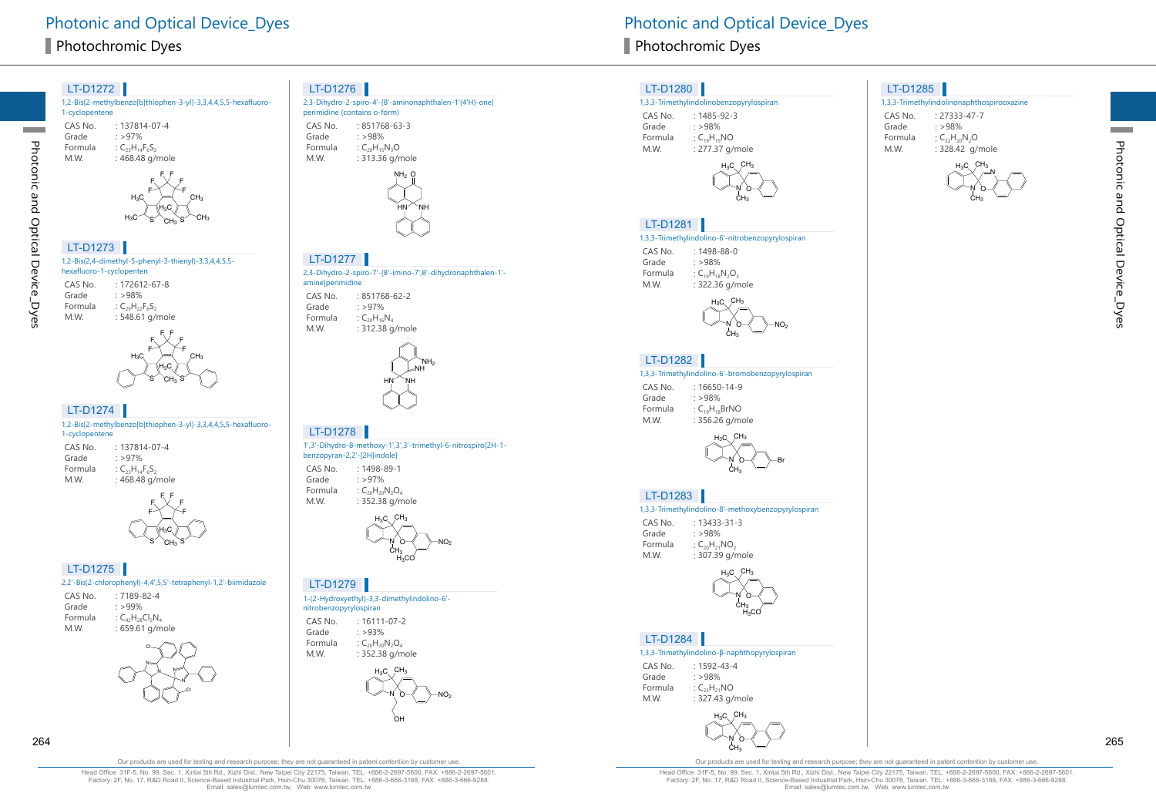



2,2'-Bis(2-chlorophenyl)-4,4',5,5'-tetraphenyl-1,2'-biimidazole

|          |    | CH <sub>3</sub> |                                                                                                                    |
|----------|----|-----------------|--------------------------------------------------------------------------------------------------------------------|
| LT-D1275 |    |                 |                                                                                                                    |
|          |    |                 |                                                                                                                    |
|          |    |                 |                                                                                                                    |
|          |    |                 |                                                                                                                    |
|          |    |                 |                                                                                                                    |
|          |    |                 |                                                                                                                    |
|          | CI |                 |                                                                                                                    |
|          |    | $: >99\%$       | $H_3C$<br>2,2'-Bis(2-chlorophenyl)-4,4',5,5'-tetraph<br>$:7189-82-4$<br>: $C_{42}H_{28}Cl_2N_4$<br>: 659.61 g/mole |



#### LT-D1276

2,3-Dihydro-2-spiro-4'-[8'-aminonaphthalen-1'(4'H)-one] perimidine (contains o-form) CAS No. : 851768-63-3 Grade : >98% Formula :  $C_{20}H_{15}N_3O$ M.W. : 313.36 g/mole



2,3-Dihydro-2-spiro-7'-[8'-imino-7',8'-dihydronaphthalen-1' amine]perimidine LT-D1277

CAS No. : 851768-62-2 Grade  $: >97\%$ Formula :  $C_{20}H_{16}N_4$ : 312.38 g/mole



#### LT-D1278

1',3'-Dihydro-8-methoxy-1',3',3'-trimethyl-6-nitrospiro[2H-1 benzopyran-2,2'-[2H]indole] CAS No. : 1498-89-1 Grade : >97%

Formula :  $C_{20}H_{20}N_2O_4$ M.W. : 352.38 g/mole



2

LT-D1279

1-(2-Hydroxyethyl)-3,3-dimethylindolino-6' nitrobenzopyrylospiran CAS No. : 16111-07-2 Grade : >93% Formula :  $C_{20}H_{20}N_2O_4$ M.W. : 352.38 g/mole



Photonic and Optical Device Dyes **Photonic and Optical Device Dyes** Photonic and Optical Device Dyes

#### LT-D1280

#### 1,3,3-Trimethylindolinobenzopyrylospiran

CAS No. : 1485-92-3 Grade : >98% Formula :  $C_{19}H_{19}NO$ M.W. : 277.37 g/mole



#### LT-D1281

#### 1,3,3-Trimethylindolino-6'-nitrobenzopyrylospiran

CAS No. : 1498-88-0 Grade : >98% Formula :  $C_{19}H_{18}N_2O_3$ M.W. : 322.36 g/mole



#### LT-D1282

1,3,3-Trimethylindolino-6'-bromobenzopyrylospiran

| CAS No. | $: 16650 - 14 - 9$   |
|---------|----------------------|
| Grade   | : >98%               |
| Formula | : $C_{19}H_{18}BrNO$ |
| M.W.    | : 356.26 g/mole      |



#### LT-D1283

|         | 1,3,3-Trimethylindolino-8'-methoxybenzopyrylospiran |
|---------|-----------------------------------------------------|
| CAS No. | $: 13433 - 31 - 3$                                  |
| Grade   | : $>98\%$                                           |

Formula :  $C_{20}H_{21}NO_2$ M.W. : 307.39 g/mole



#### LT-D1284

#### 1,3,3-Trimethylindolino-β-naphthopyrylospiran

| CAS No. | $: 1592 - 43 - 4$  |
|---------|--------------------|
| Grade   | $\cdot$ >98%       |
| Formula | : $C_{23}H_{21}NO$ |
| M.W.    | : 327.43 g/mole    |



#### LT-D1285

1,3,3-Trimethylindolinonaphthospirooxazine

CAS No. : 27333-47-7 Grade : >98% Formula :  $C_{22}H_{20}N_2O$ 

M.W. : 328.42 g/mole



**Contract** 

Our products are used for testing and research purpose; they are not guaranteed in patent contention by customer use

Photonic and Optical Device\_Dyes

Photonic and Optical Device\_Dyes

**Contract**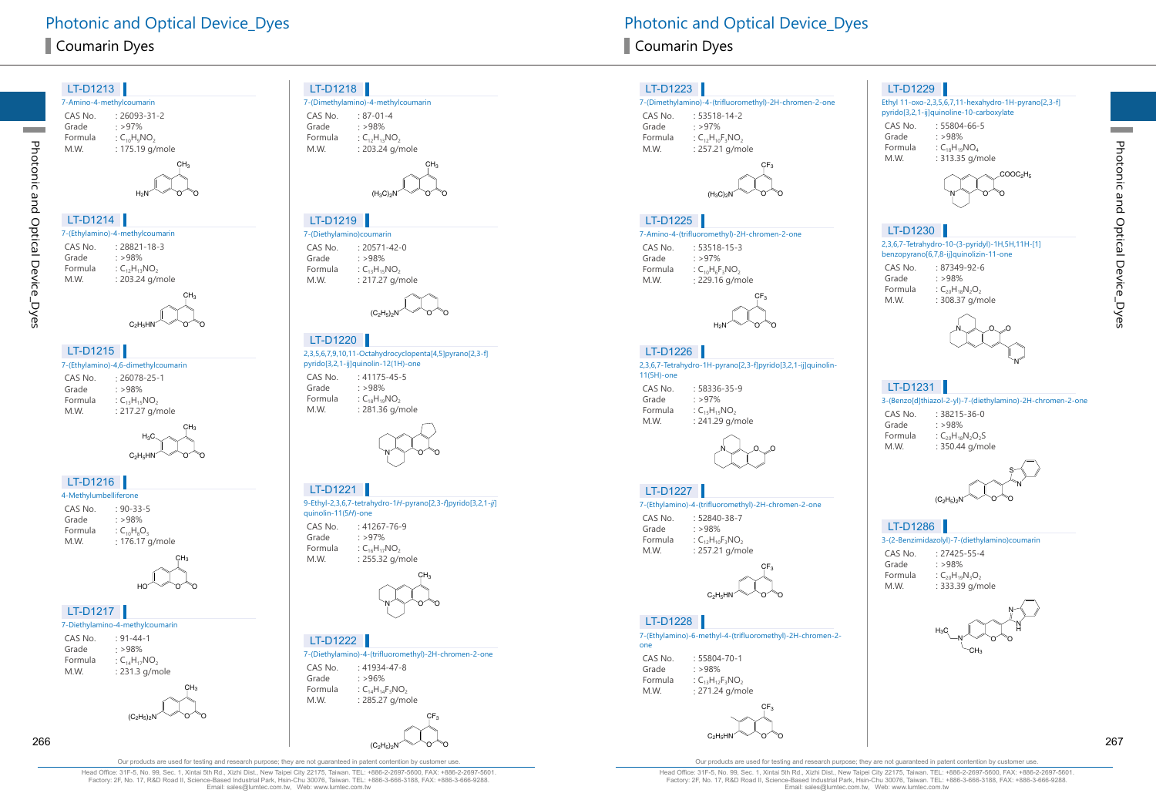$LT$ D<sub>1212</sub>

Photonic and Optical Device\_Dyes

Photonic and Optical Device\_Dyes

**Contract** 

| LI-DIZIJ                          |                                     |
|-----------------------------------|-------------------------------------|
|                                   | 7-Amino-4-methylcoumarin            |
| CAS No.                           | $: 26093 - 31 - 2$                  |
| Grade                             | : >97%                              |
| Formula                           | : $C_{10}H_9NO_2$                   |
| M.W.                              | : 175.19 g/mole                     |
|                                   | CH <sub>3</sub>                     |
|                                   |                                     |
|                                   |                                     |
|                                   | H <sub>2</sub> N                    |
|                                   |                                     |
| LT-D1214                          |                                     |
|                                   | 7-(Ethylamino)-4-methylcoumarin     |
| CAS No.                           | : 28821-18-3                        |
| Grade                             | : >98%                              |
| Formula                           | : $C_{12}H_{13}NO_2$                |
| M.W.                              | : 203.24 g/mole                     |
|                                   | CH <sub>3</sub>                     |
|                                   |                                     |
|                                   | $C_2H_5HN$                          |
|                                   |                                     |
| LT-D1215                          |                                     |
|                                   | 7-(Ethylamino)-4,6-dimethylcoumarin |
|                                   |                                     |
| CAS No.<br>Grade                  | $: 26078 - 25 - 1$<br>: >98%        |
| Formula                           | : $C_{13}H_{15}NO_2$                |
| M.W.                              | : 217.27 g/mole                     |
|                                   | CH <sub>3</sub>                     |
|                                   | $_{\rm H_3C}$                       |
|                                   |                                     |
|                                   | $C_2H_5HN$                          |
|                                   |                                     |
| LT-D1216<br>4-Methylumbelliferone |                                     |
| CAS No.                           |                                     |
| Grade                             | $: 90 - 33 - 5$<br>: >98%           |
| Formula                           | : $C_{10}H_8O_3$                    |
| M.W.                              | : 176.17 g/mole                     |
|                                   |                                     |
|                                   | CH <sub>3</sub>                     |
|                                   | II                                  |
|                                   | НC                                  |
|                                   |                                     |
| LT-D1217                          |                                     |
|                                   | 7-Diethylamino-4-methylcoumarin     |
| CAS No.                           | : 91-44-1                           |
| Grade                             | : >98%                              |
| Formula                           | : $C_{14}H_{17}NO_2$                |
| M.W.                              | : 231.3 g/mole                      |
|                                   | CH <sub>3</sub>                     |
|                                   |                                     |

O

 $(C_2H_5)_2N$   $\vee$   $O$   $O$ 

#### LT-D1218

|         | 7-(Dimethylamino)-4-methylcoumarin |  |
|---------|------------------------------------|--|
| CAS No. | $: 87 - 01 - 4$                    |  |
| Grade   | $.598\%$                           |  |
| Formula | : $C_{12}H_{13}NO_2$               |  |
| M.W.    | : 203.24 g/mole                    |  |



#### LT-D1219

7-(Diethylamino)coumarin CAS No. : 20571-42-0<br>Grade : >98% Grade  $: >98\%$ <br>Formula  $: C_{12}H_{15}$ Formula  $C_{13}H_{15}NO_2$ <br>M.W.  $: 217.27 \text{ a/r}$ : 217.27 g/mole



#### LT-D1220

2,3,5,6,7,9,10,11-Octahydrocyclopenta[4,5]pyrano[2,3-f] pyrido[3,2,1-ij]quinolin-12(1H)-one

CAS No. : 41175-45-5<br>Grade : >98% Grade : >98%<br>Formula : C<sub>19</sub>H<sub>19</sub> Formula  $C_{18}H_{19}NO_2$ <br>M.W. : 281.36 g/r : 281.36 g/mole



#### 9-Ethyl-2,3,6,7-tetrahydro-1H-pyrano[2,3-f]pyrido[3,2,1-j] quinolin-11(5H)-one CAS No. : 41267-76-9<br>Grade : >97%  $: >97\%$ Formula :  $C_{16}H_{17}NO_2$ <br>M.W. : 255.32 g/r : 255.32 g/mole LT-D1221



#### LT-D1222

7-(Diethylamino)-4-(trifluoromethyl)-2H-chromen-2-one CAS No. : 41934-47-8<br>Grade : >96%  $: >96%$ Formula :  $C_{14}H_{14}F_3NO_2$ <br>M.W. : 285.27 a/mo : 285.27 g/mole



#### LT-D1223

#### 7-(Dimethylamino)-4-(trifluoromethyl)-2H-chromen-2-one

CAS No. : 53518-14-2 Grade  $: >97\%$ <br>Formula  $:C_{12}H_{10}$ Formula :  $C_{12}H_{10}F_3NO_2$ <br>M.W. : 257.21 g/m : 257.21 g/mole



#### LT-D1225

#### 7-Amino-4-(trifluoromethyl)-2H-chromen-2-one

CAS No. : 53518-15-3<br>Grade : >97% Grade : >97%<br>Formula : C<sub>10</sub>H<sub>e</sub>F Formula :  $C_{10}H_6F_3NO_2$ <br>M.W. : 229.16 g/m : 229.16 g/mole



#### LT-D1226

2,3,6,7-Tetrahydro-1H-pyrano[2,3-f]pyrido[3,2,1-ij]quinolin-11(5H)-one

CAS No. : 58336-35-9 Grade  $: >97\%$ <br>Formula  $: C_{15}H_{15}$ Formula :  $C_{15}H_{15}NO_2$ <br>M.W. : 241.29 g/i : 241.29 g/mole



#### LT-D1227

#### 7-(Ethylamino)-4-(trifluoromethyl)-2H-chromen-2-one

CAS No. : 52840-38-7<br>Grade : >98% Grade  $: >98\%$ <br>Formula  $:C_{12}H_{10}$ Formula :  $C_{12}H_{10}F_3NO_2$ <br>M.W. : 257.21 g/m : 257.21 g/mole



#### LT-D1228

7-(Ethylamino)-6-methyl-4-(trifluoromethyl)-2H-chromen-2 one

CAS No. : 55804-70-1 Grade  $: >98\%$ <br>Formula  $:C_{13}H_{12}$ Formula  $C_{13}H_{12}F_3NO_2$ <br>M.W.  $: 271.24 \text{ a/m}$ : 271.24 g/mole

#### O O  $\mathsf{CF}_3$  $\rm{C_2H_5HN}$

#### LT-D1229

#### Ethyl 11-oxo-2,3,5,6,7,11-hexahydro-1H-pyrano[2,3-f] pyrido[3,2,1-ij]quinoline-10-carboxylate

CAS No. : 55804-66-5<br>Grade : >98% Grade : >98%<br>Formula : C<sub>19</sub>H<sub>19</sub> Formula :  $C_{18}H_{19}NO_4$ <br>M.W. : 313.35 g/n : 313.35 g/mole



## LT-D1230

2,3,6,7-Tetrahydro-10-(3-pyridyl)-1H,5H,11H-[1] benzopyrano[6,7,8-ij]quinolizin-11-one

- CAS No. : 87349-92-6<br>Grade : >98%
- Grade : >98%<br>Formula : C<sub>20</sub>H<sub>12</sub> Formula  $C_{20}H_{18}N_2O_2$ <br>M.W. : 308.37 g/n





#### LT-D1231

3-(Benzo[d]thiazol-2-yl)-7-(diethylamino)-2H-chromen-2-one

CAS No. : 38215-36-0<br>Grade : > 98% Grade  $: >98\%$ <br>Formula  $:C_{20}H_{18}$ Formula :  $C_{20}H_{18}N_2O_2S$ <br>M.W. : 350.44 g/mc : 350.44 g/mole



#### LT-D1286

3-(2-Benzimidazolyl)-7-(diethylamino)coumarin

 $CAS No. 27425-55-4$ Grade : >98% Formula :  $C_{20}H_{19}N_3O_2$ <br>M.W. : 333.39 g/m : 333.39 g/mole



Head Office: 31F-5, No. 99, Sec. 1, Xintai 5th Rd., Xizhi Dist., New Taipei City 22175, Taiwan. TEL: +886-2-2697-5600, FAX: +886-2-2697-5601. Factory: 2F, No. 17, R&D Road II, Science-Based Industrial Park, Hsin-Chu 30076, Taiwan. TEL: +886-3-666-3188, FAX: +886-3-666-9288. Email: sales@lumtec.com.tw, Web: www.lumtec.com.tw

Our products are used for testing and research purpose; they are not guaranteed in patent contention by customer use.

Head Office: 31F-5, No. 99, Sec. 1, Xintai 5th Rd., Xizhi Dist., New Taipei City 22175, Taiwan. TEL: +886-2-2697-5600, FAX: +886-2-2697-5601. Factory: 2F, No. 17, R&D Road II, Science-Based Industrial Park, Hsin-Chu 30076, Taiwan. TEL: +886-3-666-3188, FAX: +886-3-666-9288.<br>Email: sales@lumtec.com.tw, Web: www.lumtec.com.tw

**Contract**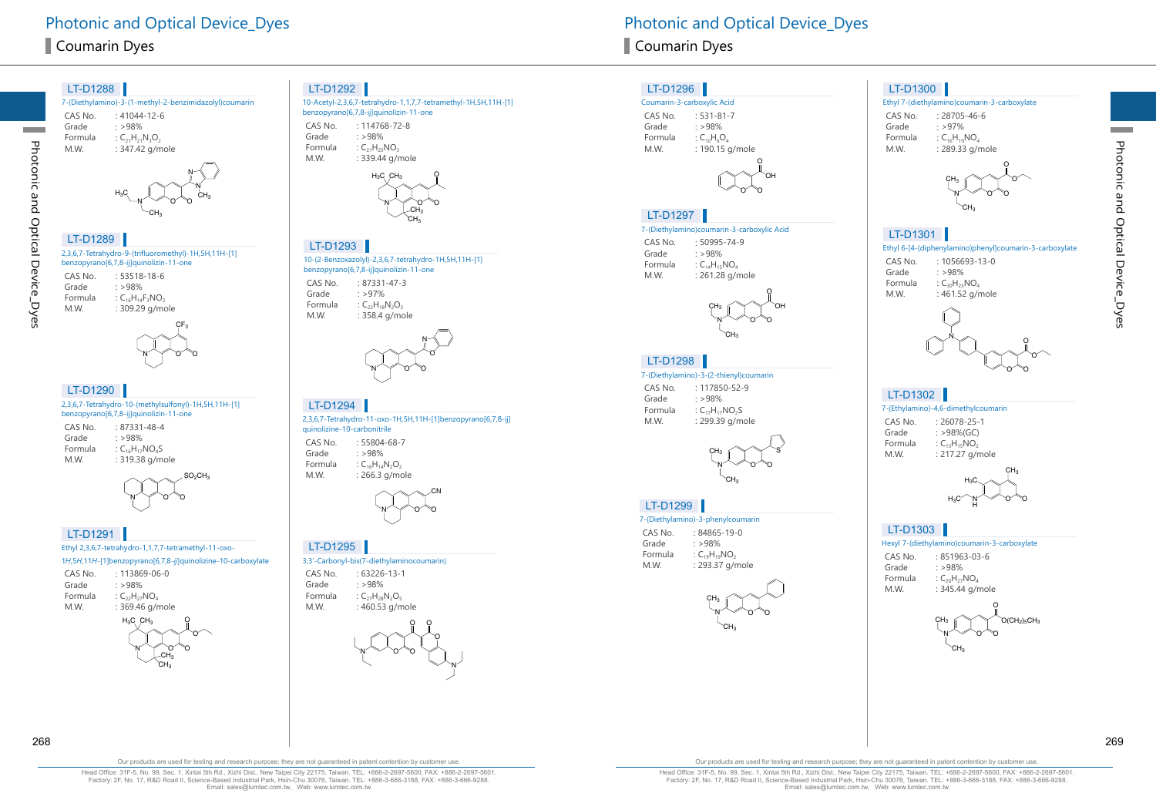# Photonic and Optical Device Dyes **Photonic and Optical Device Dyes** Photonic and Optical Device Dyes **Coumarin Dyes** Coumarin Dyes **Coumarin Dyes**



 $-CH<sub>3</sub>$ 

ပူ

O N

CN

O

N

O

O

O

#### LT-D1296

#### Coumarin-3-carboxylic Acid CAS No. : 531-81-7<br>Grade : >98% Grade  $: >98\%$ <br>Formula  $:C_{10}H_6$ Formula :  $C_{10}H_6O_4$ <br>M.W. : 190.15  $: 190.15$  g/mole



#### LT-D1297

#### 7-(Diethylamino)coumarin-3-carboxylic Acid

CAS No. : 50995-74-9 Grade : >98%<br>Formula : C<sub>14</sub>H<sub>15</sub> Formula  $C_{14}H_{15}NO_4$ <br>MW  $\cdot$  261.28 g/r  $: 261.28$  g/mole



#### LT-D1298

7-(Diethylamino)-3-(2-thienyl)coumarin

CAS No. : 117850-52-9<br>Grade : >98%  $: >98%$ Formula :  $C_{17}H_{17}NO_2S$ <br>M.W. : 299.39 a/m : 299.39 g/mole



#### LT-D1299

#### 7-(Diethylamino)-3-phenylcoumarin

| CAS No. | $:84865 - 19 - 0$    |
|---------|----------------------|
| Grade   | : >98%               |
| Formula | : $C_{19}H_{19}NO_2$ |
| M.W.    | : 293.37 g/mole      |



## LT-D1300

### Ethyl 7-(diethylamino)coumarin-3-carboxylate

CAS No. : 28705-46-6<br>Grade : >97% Grade  $: >97\%$ <br>Formula  $: C_{16}H_{19}$ Formula :  $C_{16}H_{19}NO_4$ <br>M.W. : 289.33 a/r : 289.33 g/mole



#### LT-D1301

Ethyl 6-[4-(diphenylamino)phenyl]coumarin-3-carboxylate

- CAS No. : 1056693-13-0<br>Grade : >98%
- Grade  $: >98\%$ <br>Formula  $: C_{20}H_{22}$ Formula :  $C_{30}H_{23}NO_4$ <br>M.W. : 461.52 g/r  $: 461.52$  g/mole



### LT-D1302 |

#### 7-(Ethylamino)-4,6-dimethylcoumarin

CAS No. : 26078-25-1<br>Grade : >98%(GC) Grade  $: >98\%$ (GC)<br>Formula  $: C_{12}H_{15}NO_2$ Formula  $C_{13}H_{15}NO_2$ <br>M W  $\cdot$  217.27 o/r  $: 217.27$  g/mole



#### LT-D1303

Hexyl 7-(diethylamino)coumarin-3-carboxylate

| CAS No. | $:851963-03-6$         |
|---------|------------------------|
| Grade   | : >98%                 |
| Formula | : $C_{20}H_{27}NO_{4}$ |
| M.W.    | : 345.44 g/mole        |
|         |                        |



**Contract** 

Our products are used for testing and research purpose; they are not guaranteed in patent contention by customer use

Head Office: 31F-5, No. 99, Sec. 1, Xintai 5th Rd., Xizhi Dist., New Taipei City 22175, Taiwan. TEL: +886-2-2697-5600, FAX: +886-2-2697-5601. Factory: 2F, No. 17, R&D Road II, Science-Based Industrial Park, Hsin-Chu 30076, Taiwan. TEL: +886-3-666-3188, FAX: +886-3-666-9288. Email: sales@lumtec.com.tw, Web: www.lumtec.com.tw





Photonic and Optical Device\_Dyes

Photonic and Optical Device\_Dyes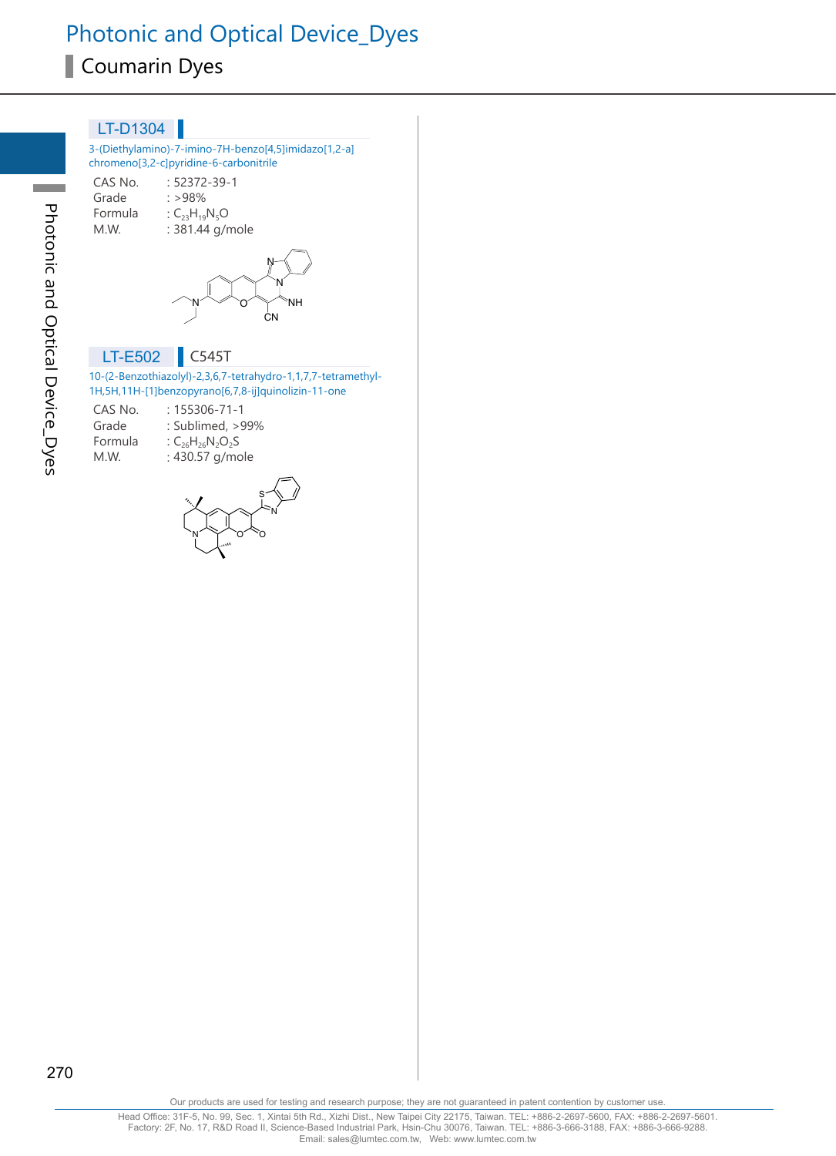| LT-D1304                                                 |                                                                                                |
|----------------------------------------------------------|------------------------------------------------------------------------------------------------|
|                                                          | 3-(Diethylamino)-7-imino-7H-benzo[4,5]imidazo[1,2-a]<br>chromeno[3,2-c]pyridine-6-carbonitrile |
| CAS No.<br>Grade<br>Formula : $C_{23}H_{19}N_5O$<br>M.W. | : 52372-39-1<br>$: >98\%$<br>: 381.44 g/mole                                                   |
|                                                          | 'NH<br>ΩN                                                                                      |
| LT-E502                                                  | C545T                                                                                          |

#### 10-(2-Benzothiazolyl)-2,3,6,7-tetrahydro-1,1,7,7-tetramethyl-1H,5H,11H-[1]benzopyrano[6,7,8-ij]quinolizin-11-one

| CAS No. | $: 155306 - 71 - 1$     |
|---------|-------------------------|
| Grade   | : Sublimed, >99%        |
| Formula | : $C_{26}H_{26}N_2O_2S$ |
| M.W.    | : 430.57 g/mole         |
|         |                         |

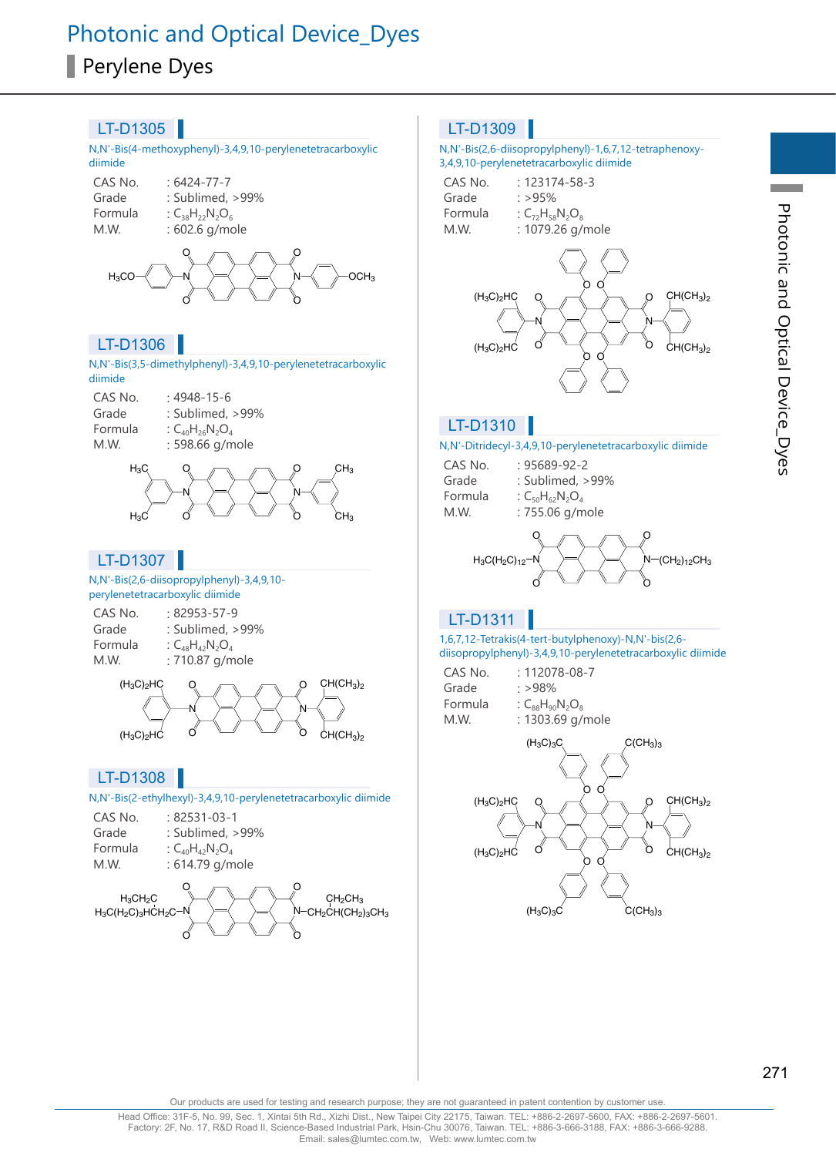

**Contract Contract**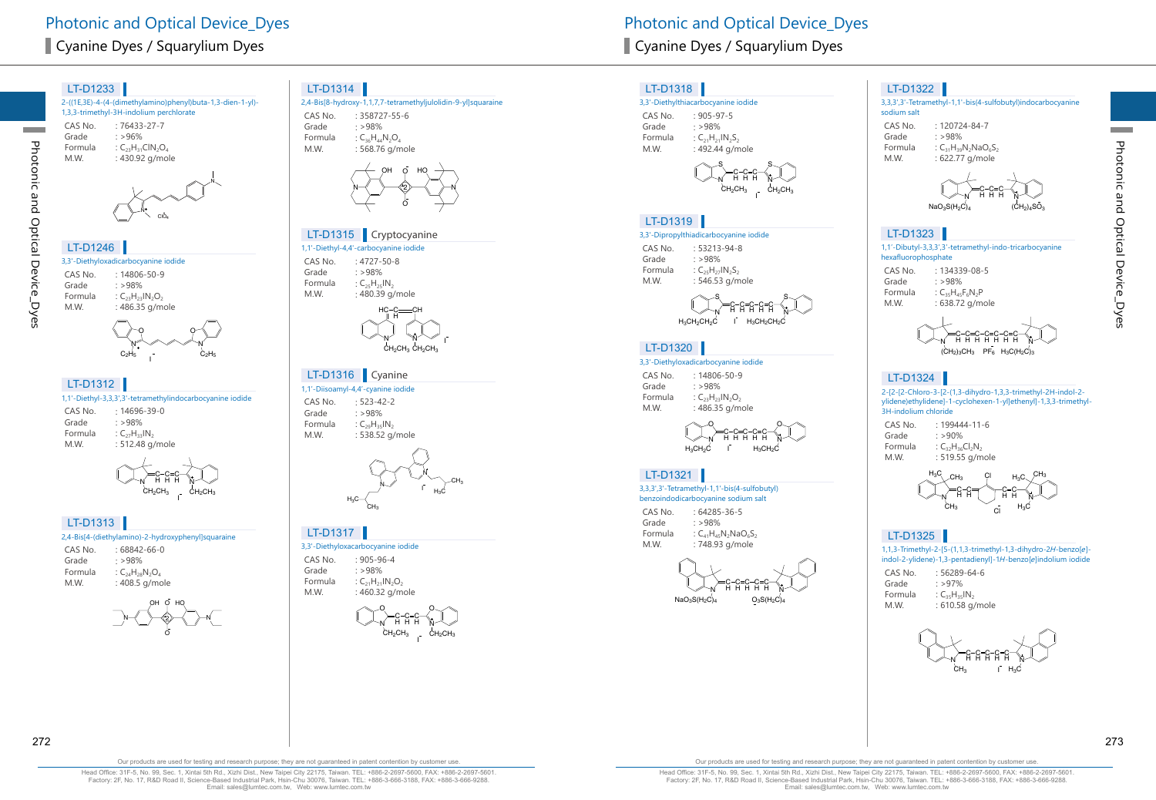2-((1E,3E)-4-(4-(dimethylamino)phenyl)buta-1,3-dien-1-yl)- 1,3,3-trimethyl-3H-indolium perchlorate CAS No. : 76433-27-7<br>Grade : >96% Grade  $: >96\%$ <br>Formula  $: C_{22}H_{21}$ Formula :  $C_{23}H_{31}CIN_{2}O_{4}$ <br>M.W. : 430.92 g/mol : 430.92 g/mole



#### 3,3'-Diethyloxadicarbocyanine iodide CAS No. : 14806-50-9<br>Grade : >98% Grade  $: >98\%$ <br>Formula  $: C_{22}H_{22}$ Formula :  $C_{23}H_{23}IN_2O_2$ <br>M.W. : 486.35 g/m LT-D1246



#### LT-D1312

Photonic and Optical Device\_Dyes

Photonic and Optical Device\_Dyes

|         | 1,1'-Diethyl-3,3,3',3'-tetramethylindocarbocyanine iodide |  |
|---------|-----------------------------------------------------------|--|
| CAS No. | $:14696 - 39 - 0$                                         |  |

| CAS No. | : 14696-39-0         |
|---------|----------------------|
| Grade   | $\cdot$ >98%         |
| Formula | : $C_{27}H_{33}IN_2$ |
| M.W.    | : 512.48 g/mole      |



#### 2,4-Bis[4-(diethylamino)-2-hydroxyphenyl]squaraine LT-D1313

| CAS No. | $:68842-66-0$          |
|---------|------------------------|
| Grade   | $\cdot$ >98%           |
| Formula | : $C_{24}H_{28}N_2O_4$ |
| M.W.    | : 408.5 g/mole         |



#### LT-D1314

|         | 2,4-Bis[8-hydroxy-1,1,7,7-tetramethyljulolidin-9-yl]squaraine |
|---------|---------------------------------------------------------------|
| CAS No. | $: 358727 - 55 - 6$                                           |
| Grade   | $\cdot$ >98%                                                  |
| Formula | : $C_{36}H_{44}N_2O_4$                                        |
| M.W.    | : 568.76 g/mole                                               |
|         |                                                               |



#### LT-D1315 Cryptocyanine

1,1'-Diethyl-4,4'-carbocyanine iodide CAS No. : 4727-50-8<br>Grade : >98% Grade : >98%<br>Formula : C<sub>ar</sub>H<sub>ar</sub> Formula :  $C_{25}H_{25}IN_{2}$ <br>M.W. : 480.39 q.  $: 480.39$  g/mole



#### LT-D1316 Cyanine

1,1'-Diisoamyl-4,4'-cyanine iodide CAS No. : 523-42-2<br>Grade : >98% Grade : >98%<br>Formula : C<sub>20</sub>H<sub>25</sub> Formula :  $C_{29}H_{35}IN_2$ <br>M.W. : 538.52 q : 538.52 g/mole



#### LT-D1317

3,3'-Diethyloxacarbocyanine iodide CAS No. : 905-96-4<br>Grade : >98%





#### LT-D1318

3,3'-Diethylthiacarbocyanine iodide CAS No. : 905-97-5<br>Grade : >98% Grade  $: >98\%$ <br>Formula  $:C_{21}H_{21}$ Formula :  $C_{21}H_{21}IN_2S_2$ <br>M.W. : 492.44 g/m  $: 492.44$  g/mole



#### LT-D1319

#### 3,3'-Dipropylthiadicarbocyanine iodide

CAS No. : 53213-94-8<br>Grade : >98% Grade  $: >98\%$ <br>Formula  $: C_{25}H_{27}$ Formula  $\qquad C_{25}H_{27}IN_{2}S_{2}$ <br>MW  $\qquad \qquad 54653 \text{ g/m}$  $: 546.53$  g/mole

N S  $_{\rm H_3CH_2CH_2C}$ C H C H C ннн ў S  $H_3CH_2CH_2C$ C H C H

#### LT-D1320

3,3'-Diethyloxadicarbocyanine iodide

CAS No. : 14806-50-9 Grade  $: >98\%$ <br>Formula  $: C_{23}H_{23}$ Formula :  $C_{23}H_{23}IN_2O_2$ <br>M.W. : 486.35 g/m : 486.35 g/mole

N O  $H_3CH_2C$ C H C H C ннн <sub>М</sub> O  $H_3CH_2C$ C H C H  $\blacksquare$ 

#### LT-D1321

#### 3,3,3',3'-Tetramethyl-1,1'-bis(4-sulfobutyl) benzoindodicarbocyanine sodium salt

CAS No. : 64285-36-5 Grade : >98% Formula  $C_{41}H_{45}N_2NaO_6S_2$ <br>M.W.  $1748.93 \text{ g/mole}$ : 748.93 g/mole



#### LT-D1322

3,3,3',3'-Tetramethyl-1,1'-bis(4-sulfobutyl)indocarbocyanine sodium salt

CAS No. : 120724-84-7<br>Grade : >98% Grade : >98%<br>Formula : C<sub>21</sub>H<sub>20</sub> Formula  $C_{31}H_{39}N_2NaO_6S_2$ <br>M.W. : 622.77 g/mole : 622.77 g/mole



## LT-D1323

| 1,1'-Dibutyl-3,3,3',3'-tetramethyl-indo-tricarbocyanine<br>hexafluorophosphate |                             |  |
|--------------------------------------------------------------------------------|-----------------------------|--|
| CAS No.                                                                        | $: 134339 - 08 - 5$         |  |
| Grade                                                                          | .598%                       |  |
| Formula                                                                        | : $C_{35}H_{45}F_{6}N_{2}P$ |  |
| M.W.                                                                           | : 638.72 g/mole             |  |



## LT-D1324

2-[2-[2-Chloro-3-[2-(1,3-dihydro-1,3,3-trimethyl-2H-indol-2 ylidene)ethylidene]-1-cyclohexen-1-yl]ethenyl]-1,3,3-trimethyl-3H-indolium chloride

CAS No. : 199444-11-6<br>Grade : >90% Grade  $: >90\%$ <br>Formula  $: C_{22}H_{26}$ Formula :  $C_{32}H_{36}Cl_2N_2$ <br>M.W. : 519.55 g/n  $: 519.55$  g/mole



#### LT-D1325

1,1,3-Trimethyl-2-[5-(1,1,3-trimethyl-1,3-dihydro-2H-benzo[e] indol-2-ylidene)-1,3-pentadienyl]-1H-benzo[e]indolium iodide

| CAS No. | $: 56289 - 64 - 6$     |
|---------|------------------------|
| Grade   | :297%                  |
| Formula | $:C_{35}H_{35}IN_{25}$ |
| M.W.    | : 610.58 g/mole        |

N C H C H C ннн ў C H C H  $CH_3$  I  $H_3C$ 

272 273

Our products are used for testing and research purpose; they are not guaranteed in patent contention by customer use

Head Office: 31F-5, No. 99, Sec. 1, Xintai 5th Rd., Xizhi Dist., New Taipei City 22175, Taiwan. TEL: +886-2-2697-5600, FAX: +886-2-2697-5601. Factory: 2F, No. 17, R&D Road II, Science-Based Industrial Park, Hsin-Chu 30076, Taiwan. TEL: +886-3-666-3188, FAX: +886-3-666-9288. Email: sales@lumtec.com.tw, Web: www.lumtec.com.tw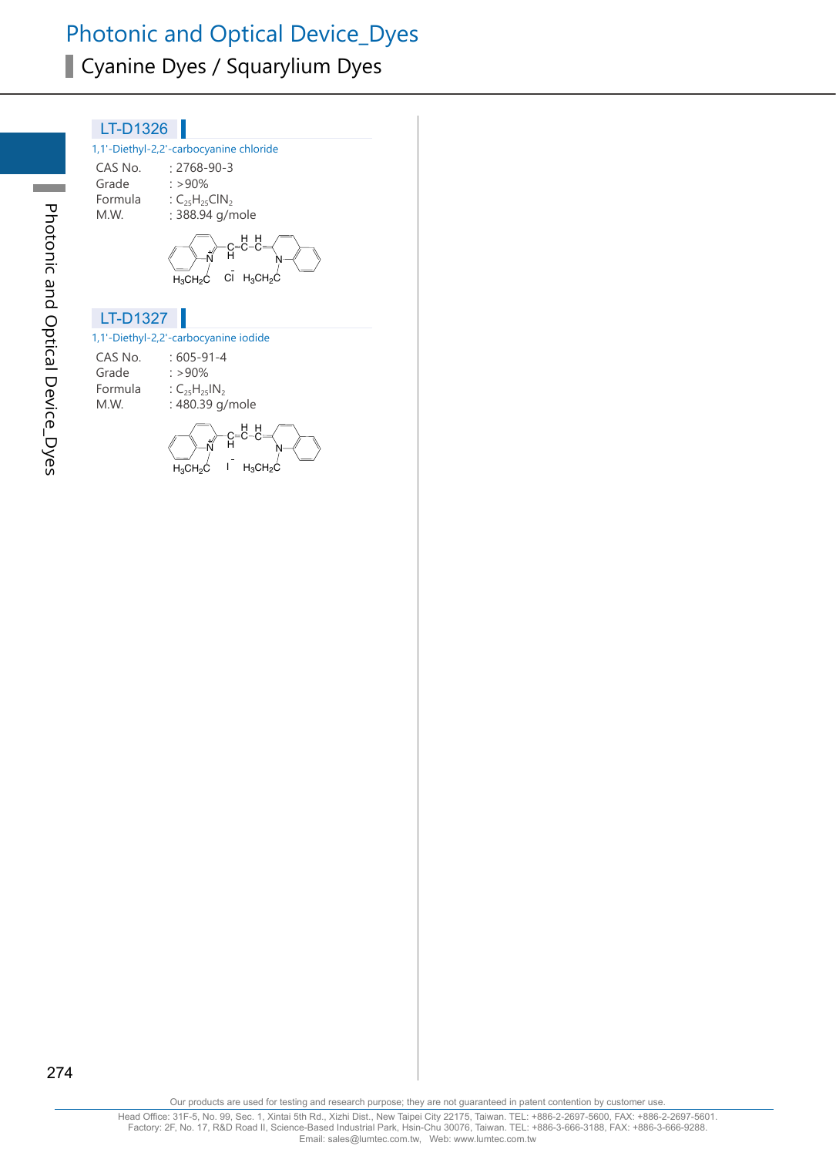# Photonic and Optical Device\_Dyes Cyanine Dyes / Squarylium Dyes

| LT-D1326      |                                                                                        |
|---------------|----------------------------------------------------------------------------------------|
|               | 1,1'-Diethyl-2,2'-carbocyanine chloride                                                |
| Grade<br>M.W. | CAS No. : 2768-90-3<br>$: > 90\%$<br>Formula : $C_{25}H_{25}CH_{2}$<br>: 388.94 g/mole |
|               | $C\bar{I}$ H <sub>3</sub> CH <sub>2</sub> C<br>$H_3CH_2C$                              |
|               |                                                                                        |
| LT-D1327      |                                                                                        |
|               | 1,1'-Diethyl-2,2'-carbocyanine iodide                                                  |
|               | CAS No. : 605-91-4                                                                     |
| Grade         | $: > 90\%$                                                                             |
|               | Formula : $C_{25}H_{25}IN_2$                                                           |
| M.W.          | : 480.39 g/mole                                                                        |

274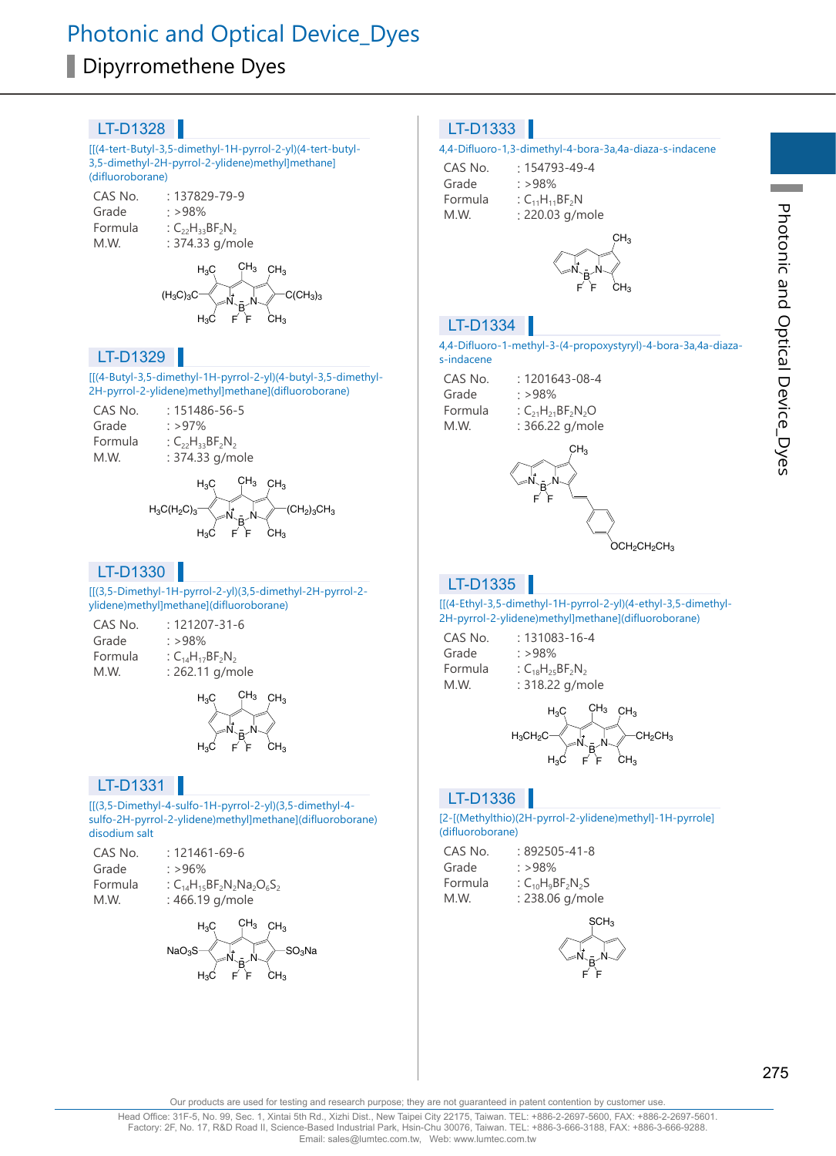# Photonic and Optical Device\_Dyes Dipyrromethene Dyes

#### LT-D1328

[[(4-tert-Butyl-3,5-dimethyl-1H-pyrrol-2-yl)(4-tert-butyl-3,5-dimethyl-2H-pyrrol-2-ylidene)methyl]methane] (difluoroborane)

| CAS No. | $: 137829 - 79 - 9$         |
|---------|-----------------------------|
| Grade   | : >98%                      |
| Formula | : $C_{22}H_{33}BF_{2}N_{2}$ |
| M.W.    | : 374.33 g/mole             |

N N  $H_3C$  CH<sub>3</sub> CH<sub>3</sub>  $(H_3C)_3C \leftarrow \begin{bmatrix} 1 \\ N \end{bmatrix}$   $\begin{bmatrix} 1 \\ N \end{bmatrix}$   $\begin{bmatrix} 1 \\ N \end{bmatrix}$   $\begin{bmatrix} 1 \\ C(CH_3)_3 \end{bmatrix}$ Ā<br>F  $H_3C$  F F CH<sub>3</sub>

#### LT-D1329

[[(4-Butyl-3,5-dimethyl-1H-pyrrol-2-yl)(4-butyl-3,5-dimethyl-2H-pyrrol-2-ylidene)methyl]methane](difluoroborane)

| CAS No. | $: 151486 - 56 - 5$         |
|---------|-----------------------------|
| Grade   | :297%                       |
| Formula | : $C_{22}H_{33}BF_{2}N_{2}$ |
| M.W.    | : 374.33 g/mole             |



#### LT-D1330

[[(3,5-Dimethyl-1H-pyrrol-2-yl)(3,5-dimethyl-2H-pyrrol-2 ylidene)methyl]methane](difluoroborane)

| CAS No. | $: 121207 - 31 - 6$         |
|---------|-----------------------------|
| Grade   | : >98%                      |
| Formula | : $C_{14}H_{17}BF_{2}N_{2}$ |
| M.W.    | : 262.11 g/mol              |



g/mole

#### LT-D1331

[[(3,5-Dimethyl-4-sulfo-1H-pyrrol-2-yl)(3,5-dimethyl-4 sulfo-2H-pyrrol-2-ylidene)methyl]methane](difluoroborane) disodium salt

| CAS No. | $: 121461 - 69 - 6$               |
|---------|-----------------------------------|
| Grade   | $: >96\%$                         |
| Formula | : $C_{14}H_{15}BF_2N_2Na_2O_6S_2$ |
| M.W.    | : 466.19 g/mole                   |



#### LT-D1333

#### 4,4-Difluoro-1,3-dimethyl-4-bora-3a,4a-diaza-s-indacene

| CAS No. | $: 154793 - 49 - 4$     |
|---------|-------------------------|
| Grade   | : $>98\%$               |
| Formula | : $C_{11}H_{11}BF_{2}N$ |
| M.W.    | : 220.03 g/mole         |



#### LT-D1334

4,4-Difluoro-1-methyl-3-(4-propoxystyryl)-4-bora-3a,4a-diazas-indacene

| CAS No. | $: 1201643 - 08 - 4$     |
|---------|--------------------------|
| Grade   | : >98%                   |
| Formula | : $C_{21}H_{21}BF_2N_2O$ |
| M.W.    | : 366.22 g/mole          |
|         |                          |



#### LT-D1335 П

[[(4-Ethyl-3,5-dimethyl-1H-pyrrol-2-yl)(4-ethyl-3,5-dimethyl-2H-pyrrol-2-ylidene)methyl]methane](difluoroborane)

| $: 131083 - 16 - 4$ |
|---------------------|
|                     |
|                     |
| : 318.22 g/mole     |
|                     |



#### LT-D1336

#### [2-[(Methylthio)(2H-pyrrol-2-ylidene)methyl]-1H-pyrrole] (difluoroborane)

| CAS No. | $:892505 - 41 - 8$    |
|---------|-----------------------|
| Grade   | $\cdot$ >98%          |
| Formula | : $C_{10}H_9BF_2N_2S$ |
| M.W.    | : 238.06 g/mole       |

 $N_{\sim}$ N SCH<sub>3</sub> B F F

**Contract** 

Our products are used for testing and research purpose; they are not guaranteed in patent contention by customer use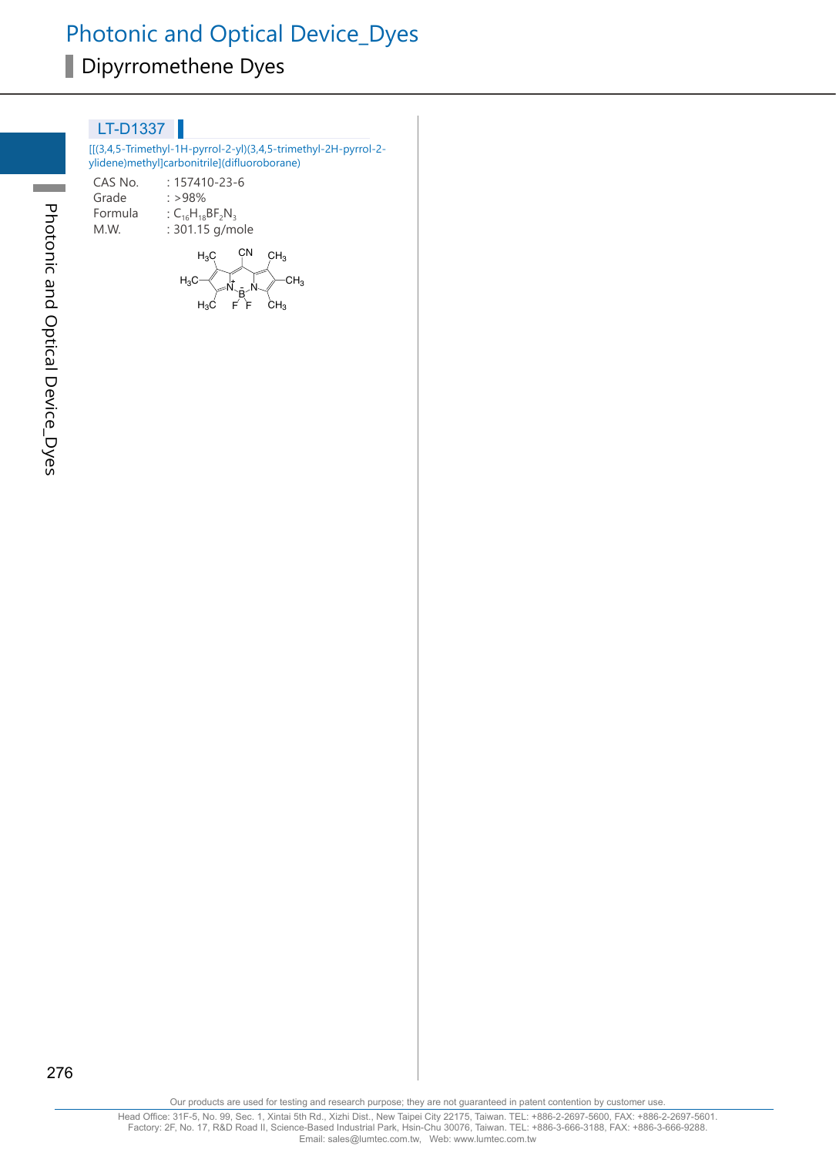[[(3,4,5-Trimethyl-1H-pyrrol-2-yl)(3,4,5-trimethyl-2H-pyrrol-2 ylidene)methyl]carbonitrile](difluoroborane)

CAS No. : 157410-23-6<br>Grade : >98% Grade : >98%<br>Formula : C<sub>16</sub>H<sub>18</sub> Formula :  $C_{16}H_{18}BF_2N_3$ <br>M.W. : 301.15 g/m : 301.15 g/mole

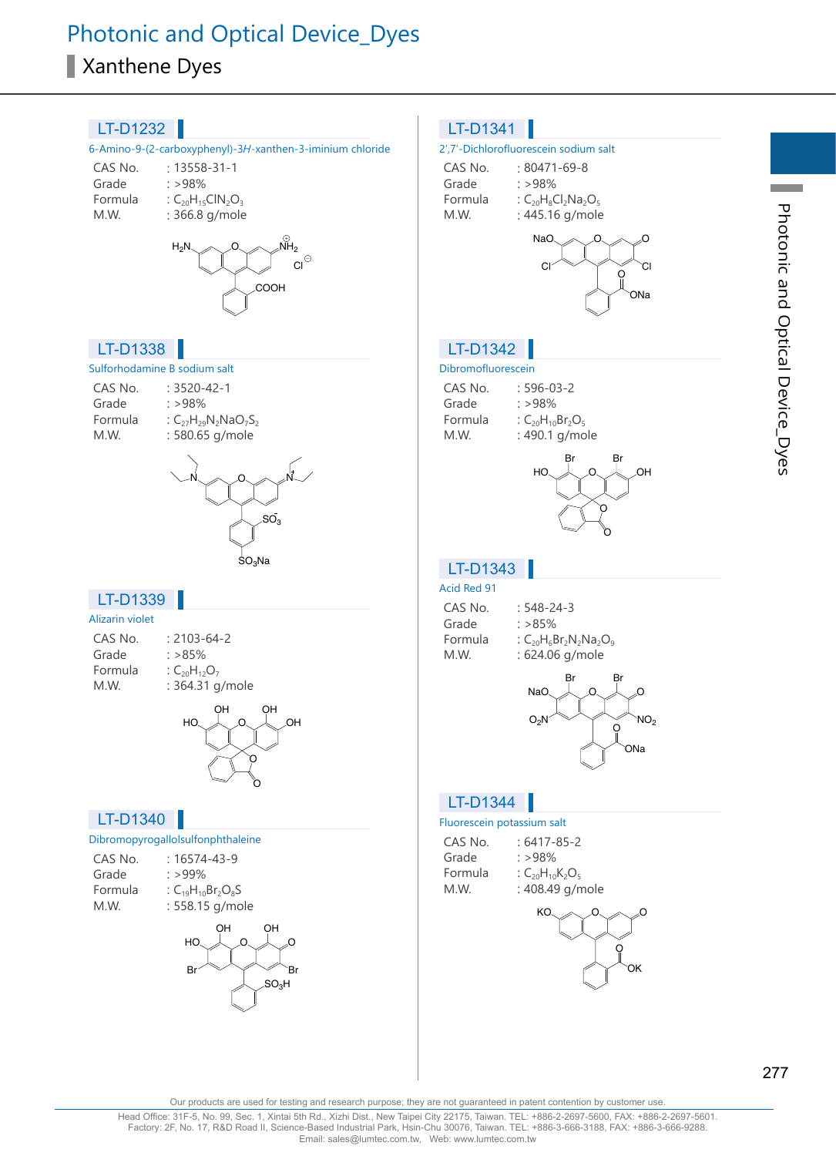# Photonic and Optical Device\_Dyes Xanthene Dyes



Photonic and Optical Device\_Dyes

Photonic and Optical Device\_Dyes

Our products are used for testing and research purpose; they are not guaranteed in patent contention by customer use